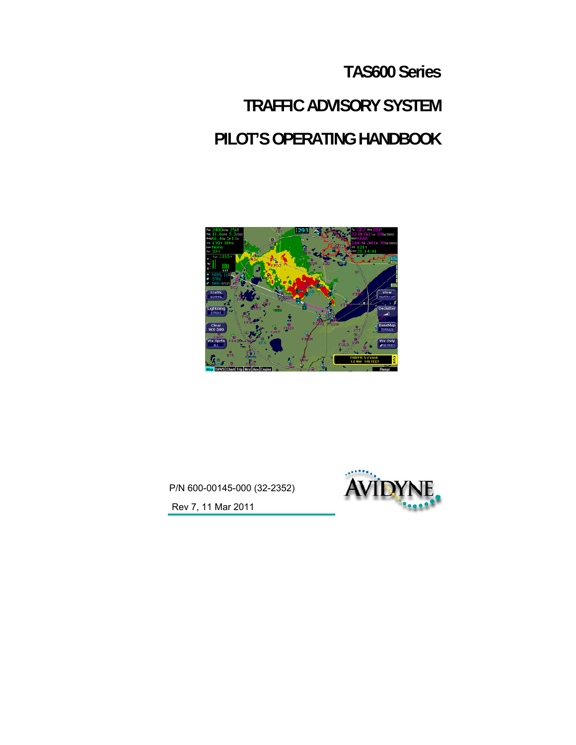**TAS600 Series TRAFFIC ADVISORY SYSTEM PILOT'S OPERATING HANDBOOK**



P/N 600-00145-000 (32-2352)

Rev 7, 11 Mar 2011

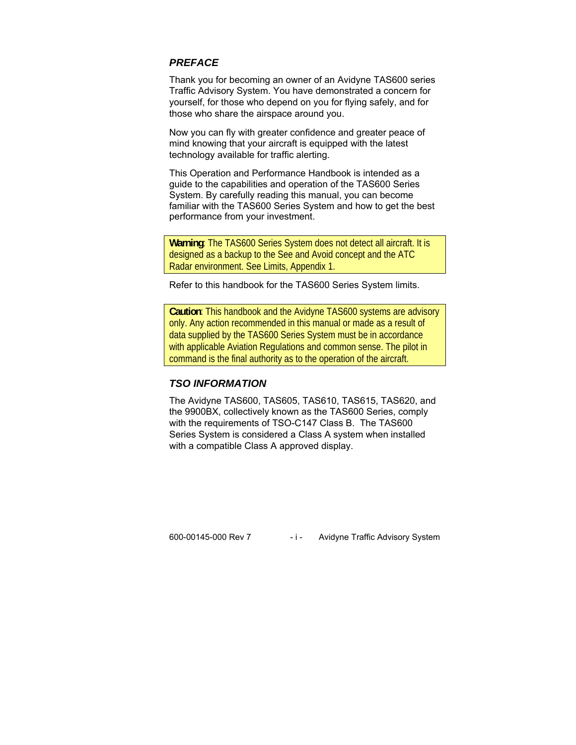### *PREFACE*

Thank you for becoming an owner of an Avidyne TAS600 series Traffic Advisory System. You have demonstrated a concern for yourself, for those who depend on you for flying safely, and for those who share the airspace around you.

Now you can fly with greater confidence and greater peace of mind knowing that your aircraft is equipped with the latest technology available for traffic alerting.

This Operation and Performance Handbook is intended as a guide to the capabilities and operation of the TAS600 Series System. By carefully reading this manual, you can become familiar with the TAS600 Series System and how to get the best performance from your investment.

**Warning**: The TAS600 Series System does not detect all aircraft. It is designed as a backup to the See and Avoid concept and the ATC Radar environment. See Limits, Appendix 1.

Refer to this handbook for the TAS600 Series System limits.

**Caution**: This handbook and the Avidyne TAS600 systems are advisory only. Any action recommended in this manual or made as a result of data supplied by the TAS600 Series System must be in accordance with applicable Aviation Regulations and common sense. The pilot in command is the final authority as to the operation of the aircraft.

## *TSO INFORMATION*

The Avidyne TAS600, TAS605, TAS610, TAS615, TAS620, and the 9900BX, collectively known as the TAS600 Series, comply with the requirements of TSO-C147 Class B. The TAS600 Series System is considered a Class A system when installed with a compatible Class A approved display.

600-00145-000 Rev 7 - i - Avidyne Traffic Advisory System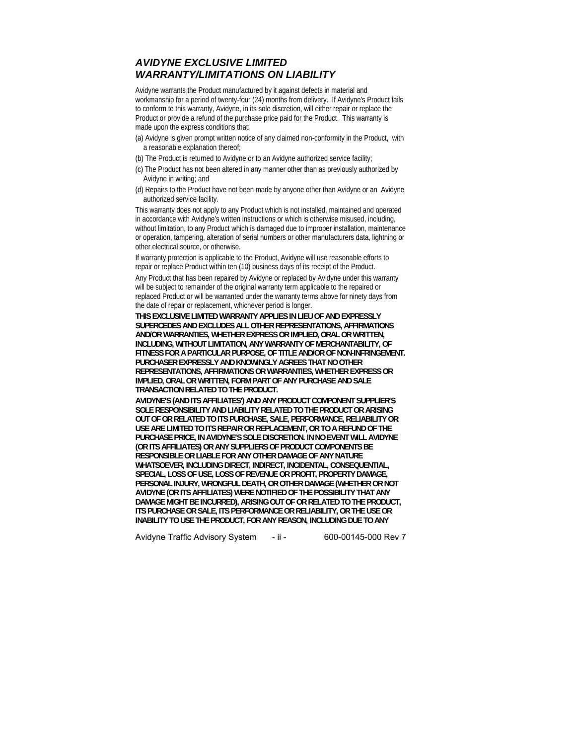### *AVIDYNE EXCLUSIVE LIMITED WARRANTY/LIMITATIONS ON LIABILITY*

Avidyne warrants the Product manufactured by it against defects in material and workmanship for a period of twenty-four (24) months from delivery. If Avidyne's Product fails to conform to this warranty, Avidyne, in its sole discretion, will either repair or replace the Product or provide a refund of the purchase price paid for the Product. This warranty is made upon the express conditions that:

- (a) Avidyne is given prompt written notice of any claimed non-conformity in the Product, with a reasonable explanation thereof;
- (b) The Product is returned to Avidyne or to an Avidyne authorized service facility;
- (c) The Product has not been altered in any manner other than as previously authorized by Avidyne in writing; and
- (d) Repairs to the Product have not been made by anyone other than Avidyne or an Avidyne authorized service facility.

This warranty does not apply to any Product which is not installed, maintained and operated in accordance with Avidyne's written instructions or which is otherwise misused, including, without limitation, to any Product which is damaged due to improper installation, maintenance or operation, tampering, alteration of serial numbers or other manufacturers data, lightning or other electrical source, or otherwise.

If warranty protection is applicable to the Product, Avidyne will use reasonable efforts to repair or replace Product within ten (10) business days of its receipt of the Product.

Any Product that has been repaired by Avidyne or replaced by Avidyne under this warranty will be subject to remainder of the original warranty term applicable to the repaired or replaced Product or will be warranted under the warranty terms above for ninety days from the date of repair or replacement, whichever period is longer.

**THIS EXCLUSIVE LIMITED WARRANTY APPLIES IN LIEU OF AND EXPRESSLY SUPERCEDES AND EXCLUDES ALL OTHER REPRESENTATIONS, AFFIRMATIONS AND/OR WARRANTIES, WHETHER EXPRESS OR IMPLIED, ORAL OR WRITTEN, INCLUDING, WITHOUT LIMITATION, ANY WARRANTY OF MERCHANTABILITY, OF FITNESS FOR A PARTICULAR PURPOSE, OF TITLE AND/OR OF NON-INFRINGEMENT. PURCHASER EXPRESSLY AND KNOWINGLY AGREES THAT NO OTHER REPRESENTATIONS, AFFIRMATIONS OR WARRANTIES, WHETHER EXPRESS OR IMPLIED, ORAL OR WRITTEN, FORM PART OF ANY PURCHASE AND SALE TRANSACTION RELATED TO THE PRODUCT.**

**AVIDYNE'S (AND ITS AFFILIATES') AND ANY PRODUCT COMPONENT SUPPLIER'S SOLE RESPONSIBILITY AND LIABILITY RELATED TO THE PRODUCT OR ARISING OUT OF OR RELATED TO ITS PURCHASE, SALE, PERFORMANCE, RELIABILITY OR USE ARE LIMITED TO ITS REPAIR OR REPLACEMENT, OR TO A REFUND OF THE PURCHASE PRICE, IN AVIDYNE'S SOLE DISCRETION. IN NO EVENT WILL AVIDYNE (OR ITS AFFILIATES) OR ANY SUPPLIERS OF PRODUCT COMPONENTS BE RESPONSIBLE OR LIABLE FOR ANY OTHER DAMAGE OF ANY NATURE WHATSOEVER, INCLUDING DIRECT, INDIRECT, INCIDENTAL, CONSEQUENTIAL, SPECIAL, LOSS OF USE, LOSS OF REVENUE OR PROFIT, PROPERTY DAMAGE, PERSONAL INJURY, WRONGFUL DEATH, OR OTHER DAMAGE (WHETHER OR NOT AVIDYNE (OR ITS AFFILIATES) WERE NOTIFIED OF THE POSSIBILITY THAT ANY DAMAGE MIGHT BE INCURRED), ARISING OUT OF OR RELATED TO THE PRODUCT, ITS PURCHASE OR SALE, ITS PERFORMANCE OR RELIABILITY, OR THE USE OR INABILITY TO USE THE PRODUCT, FOR ANY REASON, INCLUDING DUE TO ANY** 

Avidyne Traffic Advisory System - ii - 600-00145-000 Rev 7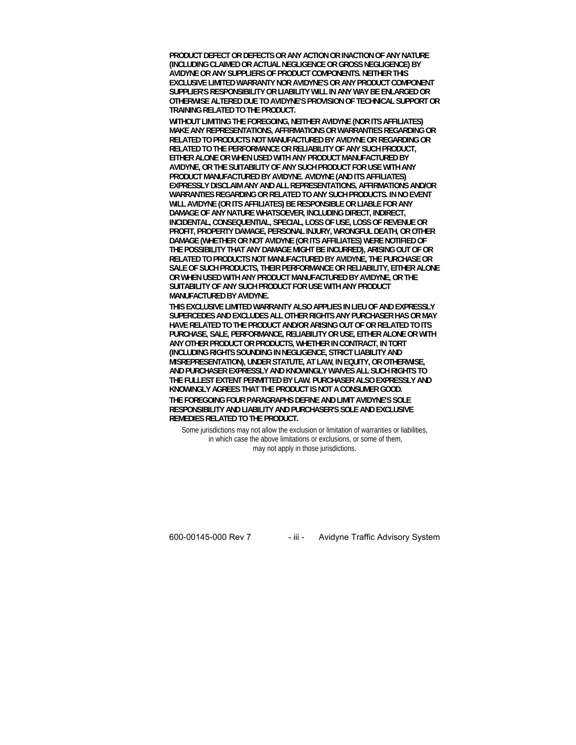**PRODUCT DEFECT OR DEFECTS OR ANY ACTION OR INACTION OF ANY NATURE (INCLUDING CLAIMED OR ACTUAL NEGLIGENCE OR GROSS NEGLIGENCE) BY AVIDYNE OR ANY SUPPLIERS OF PRODUCT COMPONENTS. NEITHER THIS EXCLUSIVE LIMITED WARRANTY NOR AVIDYNE'S OR ANY PRODUCT COMPONENT SUPPLIER'S RESPONSIBILITY OR LIABILITY WILL IN ANY WAY BE ENLARGED OR OTHERWISE ALTERED DUE TO AVIDYNE'S PROVISION OF TECHNICAL SUPPORT OR TRAINING RELATED TO THE PRODUCT.**

**WITHOUT LIMITING THE FOREGOING, NEITHER AVIDYNE (NOR ITS AFFILIATES) MAKE ANY REPRESENTATIONS, AFFIRMATIONS OR WARRANTIES REGARDING OR RELATED TO PRODUCTS NOT MANUFACTURED BY AVIDYNE OR REGARDING OR RELATED TO THE PERFORMANCE OR RELIABILITY OF ANY SUCH PRODUCT, EITHER ALONE OR WHEN USED WITH ANY PRODUCT MANUFACTURED BY AVIDYNE, OR THE SUITABILITY OF ANY SUCH PRODUCT FOR USE WITH ANY PRODUCT MANUFACTURED BY AVIDYNE. AVIDYNE (AND ITS AFFILIATES) EXPRESSLY DISCLAIM ANY AND ALL REPRESENTATIONS, AFFIRMATIONS AND/OR WARRANTIES REGARDING OR RELATED TO ANY SUCH PRODUCTS. IN NO EVENT WILL AVIDYNE (OR ITS AFFILIATES) BE RESPONSIBLE OR LIABLE FOR ANY DAMAGE OF ANY NATURE WHATSOEVER, INCLUDING DIRECT, INDIRECT, INCIDENTAL, CONSEQUENTIAL, SPECIAL, LOSS OF USE, LOSS OF REVENUE OR PROFIT, PROPERTY DAMAGE, PERSONAL INJURY, WRONGFUL DEATH, OR OTHER DAMAGE (WHETHER OR NOT AVIDYNE (OR ITS AFFILIATES) WERE NOTIFIED OF THE POSSIBILITY THAT ANY DAMAGE MIGHT BE INCURRED), ARISING OUT OF OR RELATED TO PRODUCTS NOT MANUFACTURED BY AVIDYNE, THE PURCHASE OR SALE OF SUCH PRODUCTS, THEIR PERFORMANCE OR RELIABILITY, EITHER ALONE OR WHEN USED WITH ANY PRODUCT MANUFACTURED BY AVIDYNE, OR THE SUITABILITY OF ANY SUCH PRODUCT FOR USE WITH ANY PRODUCT MANUFACTURED BY AVIDYNE.**

**THIS EXCLUSIVE LIMITED WARRANTY ALSO APPLIES IN LIEU OF AND EXPRESSLY SUPERCEDES AND EXCLUDES ALL OTHER RIGHTS ANY PURCHASER HAS OR MAY HAVE RELATED TO THE PRODUCT AND/OR ARISING OUT OF OR RELATED TO ITS PURCHASE, SALE, PERFORMANCE, RELIABILITY OR USE, EITHER ALONE OR WITH ANY OTHER PRODUCT OR PRODUCTS, WHETHER IN CONTRACT, IN TORT (INCLUDING RIGHTS SOUNDING IN NEGLIGENCE, STRICT LIABILITY AND MISREPRESENTATION), UNDER STATUTE, AT LAW, IN EQUITY, OR OTHERWISE, AND PURCHASER EXPRESSLY AND KNOWINGLY WAIVES ALL SUCH RIGHTS TO THE FULLEST EXTENT PERMITTED BY LAW. PURCHASER ALSO EXPRESSLY AND KNOWINGLY AGREES THAT THE PRODUCT IS NOT A CONSUMER GOOD. THE FOREGOING FOUR PARAGRAPHS DEFINE AND LIMIT AVIDYNE'S SOLE RESPONSIBILITY AND LIABILITY AND PURCHASER'S SOLE AND EXCLUSIVE REMEDIES RELATED TO THE PRODUCT.**

Some jurisdictions may not allow the exclusion or limitation of warranties or liabilities, in which case the above limitations or exclusions, or some of them, may not apply in those jurisdictions.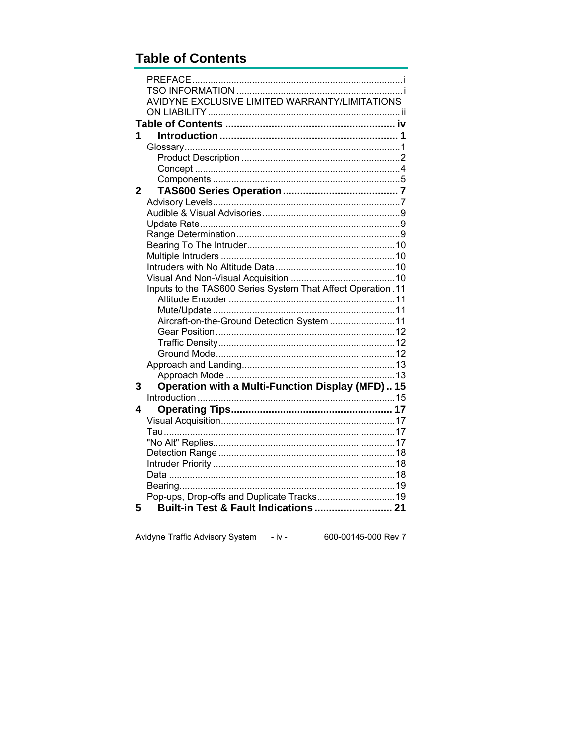# **Table of Contents**

|                | AVIDYNE EXCLUSIVE LIMITED WARRANTY/LIMITATIONS               |  |
|----------------|--------------------------------------------------------------|--|
|                |                                                              |  |
|                |                                                              |  |
| 1              |                                                              |  |
|                |                                                              |  |
|                |                                                              |  |
|                |                                                              |  |
|                |                                                              |  |
| $\overline{2}$ |                                                              |  |
|                |                                                              |  |
|                |                                                              |  |
|                |                                                              |  |
|                |                                                              |  |
|                |                                                              |  |
|                |                                                              |  |
|                |                                                              |  |
|                |                                                              |  |
|                | Inputs to the TAS600 Series System That Affect Operation .11 |  |
|                |                                                              |  |
|                | Aircraft-on-the-Ground Detection System  11                  |  |
|                |                                                              |  |
|                |                                                              |  |
|                |                                                              |  |
|                |                                                              |  |
|                |                                                              |  |
| 3              | Operation with a Multi-Function Display (MFD) 15             |  |
|                |                                                              |  |
| 4              |                                                              |  |
|                |                                                              |  |
|                |                                                              |  |
|                |                                                              |  |
|                |                                                              |  |
|                |                                                              |  |
|                |                                                              |  |
|                |                                                              |  |
|                | Pop-ups, Drop-offs and Duplicate Tracks 19                   |  |
| 5              |                                                              |  |
|                |                                                              |  |

Avidyne Traffic Advisory System - iv -

600-00145-000 Rev 7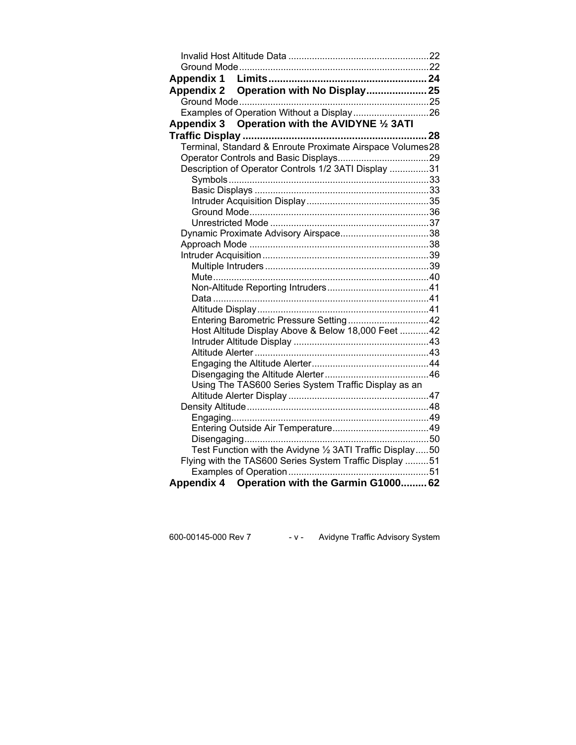| Appendix 2 Operation with No Display25                    |  |
|-----------------------------------------------------------|--|
|                                                           |  |
| Examples of Operation Without a Display 26                |  |
| Appendix 3 Operation with the AVIDYNE 1/2 3ATI            |  |
|                                                           |  |
| Terminal, Standard & Enroute Proximate Airspace Volumes28 |  |
|                                                           |  |
| Description of Operator Controls 1/2 3ATI Display 31      |  |
|                                                           |  |
|                                                           |  |
|                                                           |  |
|                                                           |  |
|                                                           |  |
|                                                           |  |
|                                                           |  |
|                                                           |  |
|                                                           |  |
|                                                           |  |
|                                                           |  |
|                                                           |  |
|                                                           |  |
|                                                           |  |
| Host Altitude Display Above & Below 18,000 Feet 42        |  |
|                                                           |  |
|                                                           |  |
|                                                           |  |
| Using The TAS600 Series System Traffic Display as an      |  |
|                                                           |  |
|                                                           |  |
|                                                           |  |
|                                                           |  |
|                                                           |  |
| Test Function with the Avidyne 1/2 3ATI Traffic Display50 |  |
| Flying with the TAS600 Series System Traffic Display 51   |  |
|                                                           |  |
| Appendix 4 Operation with the Garmin G1000 62             |  |
|                                                           |  |

| 600-00145-000 Rev 7 | $-V -$ | Avidyne Traffic Advisory System |
|---------------------|--------|---------------------------------|
|                     |        |                                 |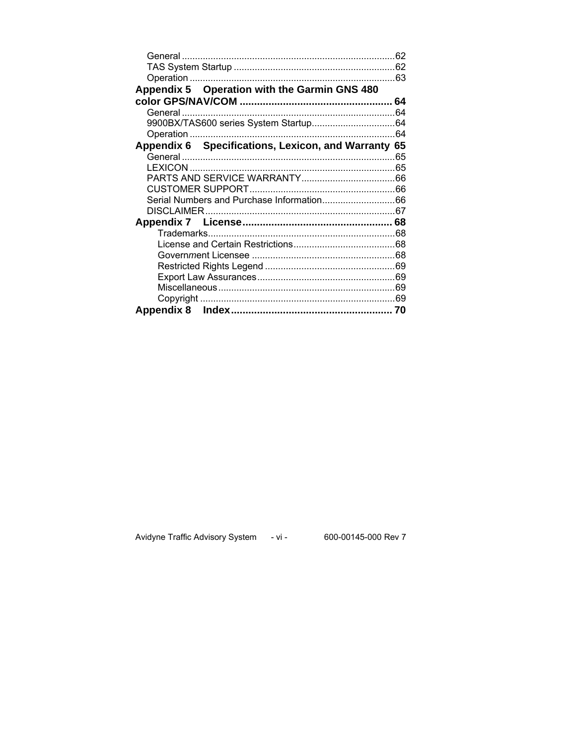| Appendix 5 Operation with the Garmin GNS 480        |  |
|-----------------------------------------------------|--|
|                                                     |  |
|                                                     |  |
|                                                     |  |
|                                                     |  |
| Appendix 6 Specifications, Lexicon, and Warranty 65 |  |
|                                                     |  |
|                                                     |  |
|                                                     |  |
|                                                     |  |
|                                                     |  |
|                                                     |  |
|                                                     |  |
|                                                     |  |
|                                                     |  |
|                                                     |  |
|                                                     |  |
|                                                     |  |
|                                                     |  |
|                                                     |  |
|                                                     |  |
|                                                     |  |

Avidyne Traffic Advisory System - vi - 600-00145-000 Rev 7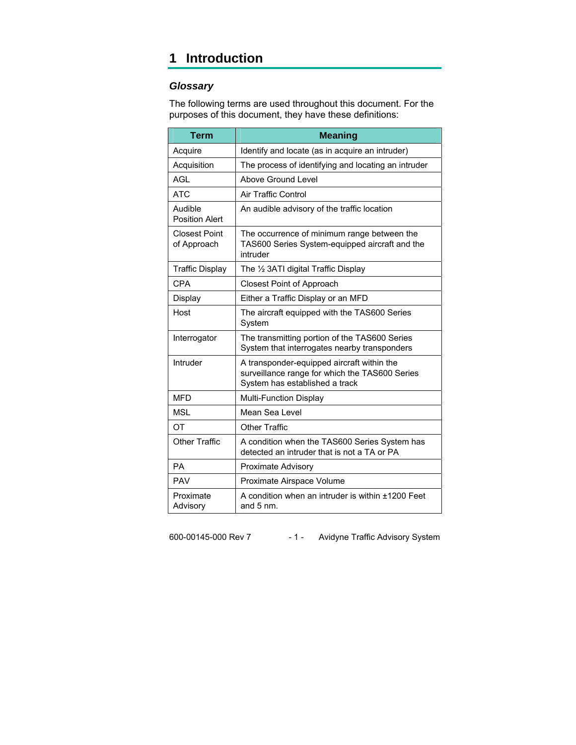# **1 Introduction**

## *Glossary*

The following terms are used throughout this document. For the purposes of this document, they have these definitions:

| <b>Term</b>                         | <b>Meaning</b>                                                                                                                 |  |
|-------------------------------------|--------------------------------------------------------------------------------------------------------------------------------|--|
| Acquire                             | Identify and locate (as in acquire an intruder)                                                                                |  |
| Acquisition                         | The process of identifying and locating an intruder                                                                            |  |
| <b>AGL</b>                          | Above Ground Level                                                                                                             |  |
| <b>ATC</b>                          | Air Traffic Control                                                                                                            |  |
| Audible<br><b>Position Alert</b>    | An audible advisory of the traffic location                                                                                    |  |
| <b>Closest Point</b><br>of Approach | The occurrence of minimum range between the<br>TAS600 Series System-equipped aircraft and the<br>intruder                      |  |
| <b>Traffic Display</b>              | The 1/2 3ATI digital Traffic Display                                                                                           |  |
| <b>CPA</b>                          | <b>Closest Point of Approach</b>                                                                                               |  |
| Display                             | Either a Traffic Display or an MFD                                                                                             |  |
| Host                                | The aircraft equipped with the TAS600 Series<br>System                                                                         |  |
| Interrogator                        | The transmitting portion of the TAS600 Series<br>System that interrogates nearby transponders                                  |  |
| Intruder                            | A transponder-equipped aircraft within the<br>surveillance range for which the TAS600 Series<br>System has established a track |  |
| <b>MFD</b>                          | Multi-Function Display                                                                                                         |  |
| <b>MSL</b>                          | Mean Sea Level                                                                                                                 |  |
| OT                                  | <b>Other Traffic</b>                                                                                                           |  |
| <b>Other Traffic</b>                | A condition when the TAS600 Series System has<br>detected an intruder that is not a TA or PA                                   |  |
| <b>PA</b>                           | <b>Proximate Advisory</b>                                                                                                      |  |
| <b>PAV</b>                          | Proximate Airspace Volume                                                                                                      |  |
| Proximate<br>Advisory               | A condition when an intruder is within ±1200 Feet<br>and 5 nm.                                                                 |  |

600-00145-000 Rev 7 - 1 - Avidyne Traffic Advisory System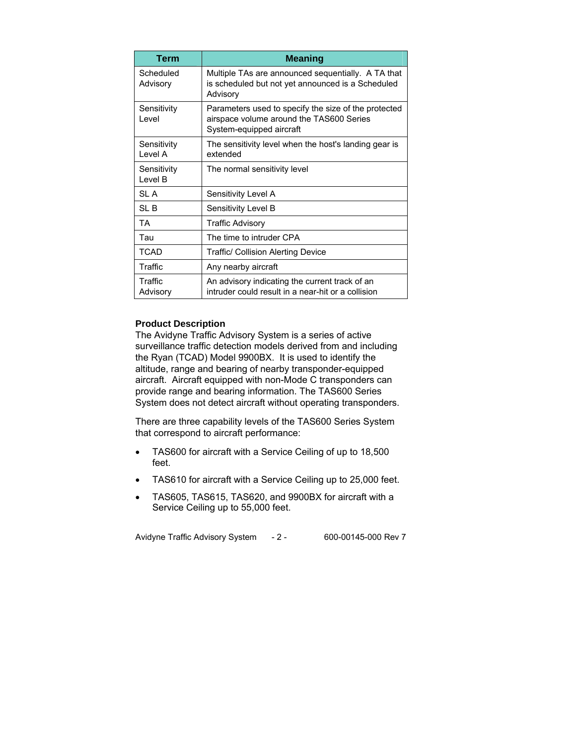| Term                   | <b>Meaning</b>                                                                                                               |  |
|------------------------|------------------------------------------------------------------------------------------------------------------------------|--|
| Scheduled<br>Advisory  | Multiple TAs are announced sequentially. A TA that<br>is scheduled but not yet announced is a Scheduled<br>Advisory          |  |
| Sensitivity<br>I evel  | Parameters used to specify the size of the protected<br>airspace volume around the TAS600 Series<br>System-equipped aircraft |  |
| Sensitivity<br>Level A | The sensitivity level when the host's landing gear is<br>extended                                                            |  |
| Sensitivity<br>Level B | The normal sensitivity level                                                                                                 |  |
| SL A                   | Sensitivity Level A                                                                                                          |  |
| SL B                   | Sensitivity Level B                                                                                                          |  |
| TA                     | <b>Traffic Advisory</b>                                                                                                      |  |
| Tau                    | The time to intruder CPA                                                                                                     |  |
| <b>TCAD</b>            | Traffic/ Collision Alerting Device                                                                                           |  |
| Traffic                | Any nearby aircraft                                                                                                          |  |
| Traffic<br>Advisory    | An advisory indicating the current track of an<br>intruder could result in a near-hit or a collision                         |  |

#### **Product Description**

The Avidyne Traffic Advisory System is a series of active surveillance traffic detection models derived from and including the Ryan (TCAD) Model 9900BX. It is used to identify the altitude, range and bearing of nearby transponder-equipped aircraft. Aircraft equipped with non-Mode C transponders can provide range and bearing information. The TAS600 Series System does not detect aircraft without operating transponders.

There are three capability levels of the TAS600 Series System that correspond to aircraft performance:

- TAS600 for aircraft with a Service Ceiling of up to 18,500 feet.
- TAS610 for aircraft with a Service Ceiling up to 25,000 feet.
- TAS605, TAS615, TAS620, and 9900BX for aircraft with a Service Ceiling up to 55,000 feet.

Avidyne Traffic Advisory System - 2 - 600-00145-000 Rev 7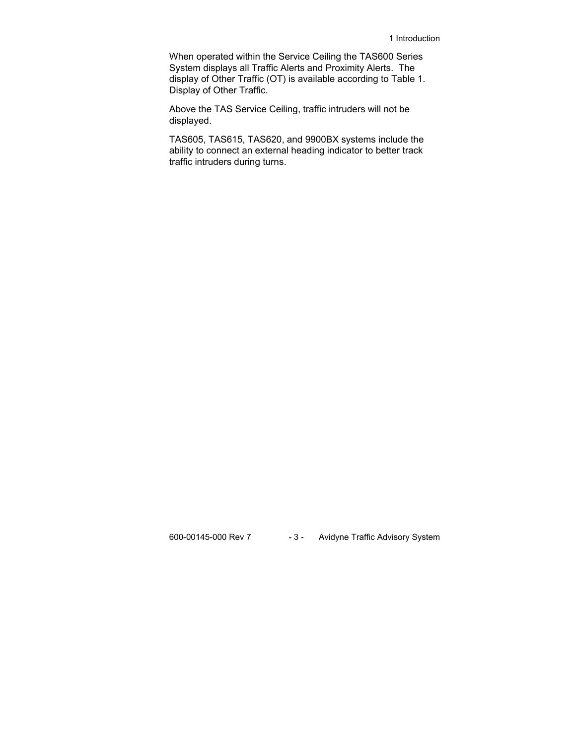When operated within the Service Ceiling the TAS600 Series System displays all Traffic Alerts and Proximity Alerts. The display of Other Traffic (OT) is available according to Table 1. Display of Other Traffic.

Above the TAS Service Ceiling, traffic intruders will not be displayed.

TAS605, TAS615, TAS620, and 9900BX systems include the ability to connect an external heading indicator to better track traffic intruders during turns.

600-00145-000 Rev 7 - 3 - Avidyne Traffic Advisory System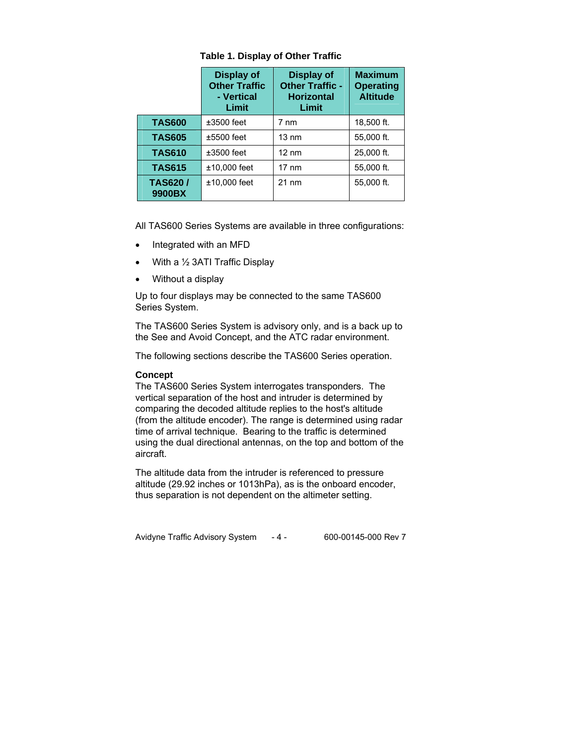|                          | <b>Display of</b><br><b>Other Traffic</b><br>- Vertical<br>Limit | <b>Display of</b><br><b>Other Traffic -</b><br><b>Horizontal</b><br>Limit | <b>Maximum</b><br><b>Operating</b><br><b>Altitude</b> |
|--------------------------|------------------------------------------------------------------|---------------------------------------------------------------------------|-------------------------------------------------------|
| <b>TAS600</b>            | $±3500$ feet                                                     | 7 nm                                                                      | 18,500 ft.                                            |
| <b>TAS605</b>            | $±5500$ feet                                                     | $13 \text{ nm}$                                                           | 55,000 ft.                                            |
| <b>TAS610</b>            | $±3500$ feet                                                     | $12 \text{ nm}$                                                           | 25,000 ft.                                            |
| <b>TAS615</b>            | $±10.000$ feet                                                   | $17 \text{ nm}$                                                           | 55,000 ft.                                            |
| <b>TAS620/</b><br>9900BX | $±10.000$ feet                                                   | $21 \text{ nm}$                                                           | 55,000 ft.                                            |

**Table 1. Display of Other Traffic** 

All TAS600 Series Systems are available in three configurations:

- Integrated with an MFD
- With a 1/2 3ATI Traffic Display
- Without a display

Up to four displays may be connected to the same TAS600 Series System.

The TAS600 Series System is advisory only, and is a back up to the See and Avoid Concept, and the ATC radar environment.

The following sections describe the TAS600 Series operation.

#### **Concept**

The TAS600 Series System interrogates transponders. The vertical separation of the host and intruder is determined by comparing the decoded altitude replies to the host's altitude (from the altitude encoder). The range is determined using radar time of arrival technique. Bearing to the traffic is determined using the dual directional antennas, on the top and bottom of the aircraft.

The altitude data from the intruder is referenced to pressure altitude (29.92 inches or 1013hPa), as is the onboard encoder, thus separation is not dependent on the altimeter setting.

Avidyne Traffic Advisory System - 4 - 600-00145-000 Rev 7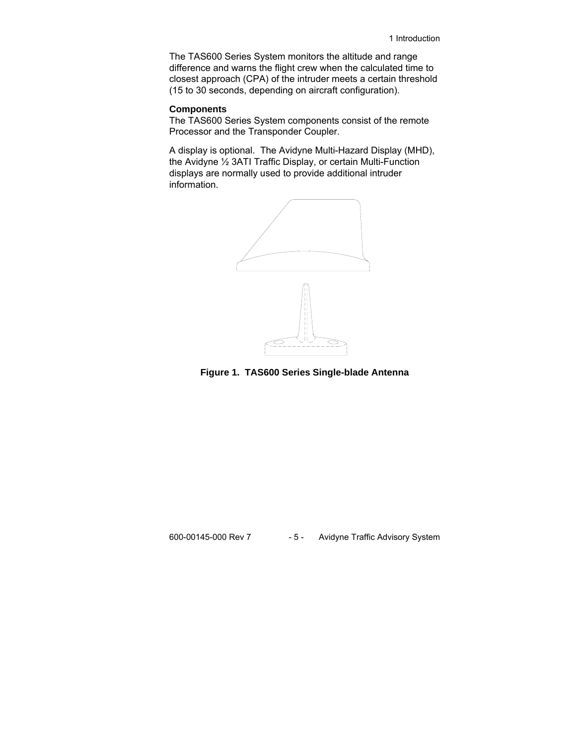The TAS600 Series System monitors the altitude and range difference and warns the flight crew when the calculated time to closest approach (CPA) of the intruder meets a certain threshold (15 to 30 seconds, depending on aircraft configuration).

#### **Components**

The TAS600 Series System components consist of the remote Processor and the Transponder Coupler.

A display is optional. The Avidyne Multi-Hazard Display (MHD), the Avidyne ½ 3ATI Traffic Display, or certain Multi-Function displays are normally used to provide additional intruder information.



**Figure 1. TAS600 Series Single-blade Antenna** 

600-00145-000 Rev 7 - 5 - Avidyne Traffic Advisory System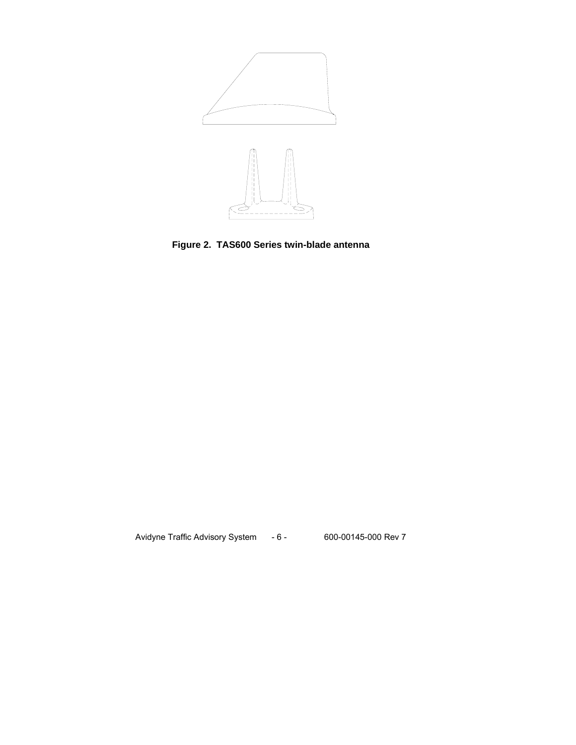

**Figure 2. TAS600 Series twin-blade antenna** 

Avidyne Traffic Advisory System - 6 - 600-00145-000 Rev 7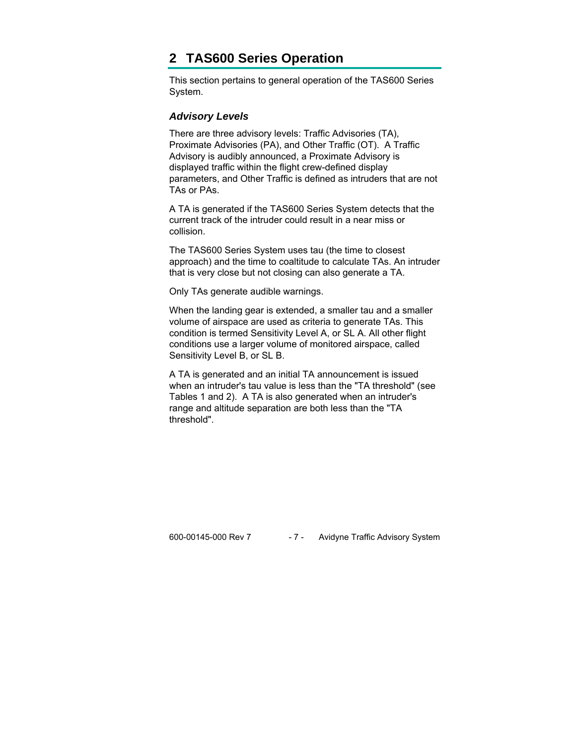## **2 TAS600 Series Operation**

This section pertains to general operation of the TAS600 Series System.

#### *Advisory Levels*

There are three advisory levels: Traffic Advisories (TA), Proximate Advisories (PA), and Other Traffic (OT). A Traffic Advisory is audibly announced, a Proximate Advisory is displayed traffic within the flight crew-defined display parameters, and Other Traffic is defined as intruders that are not TAs or PAs.

A TA is generated if the TAS600 Series System detects that the current track of the intruder could result in a near miss or collision.

The TAS600 Series System uses tau (the time to closest approach) and the time to coaltitude to calculate TAs. An intruder that is very close but not closing can also generate a TA.

Only TAs generate audible warnings.

When the landing gear is extended, a smaller tau and a smaller volume of airspace are used as criteria to generate TAs. This condition is termed Sensitivity Level A, or SL A. All other flight conditions use a larger volume of monitored airspace, called Sensitivity Level B, or SL B.

A TA is generated and an initial TA announcement is issued when an intruder's tau value is less than the "TA threshold" (see Tables 1 and 2). A TA is also generated when an intruder's range and altitude separation are both less than the "TA threshold".

600-00145-000 Rev 7 - 7 - Avidyne Traffic Advisory System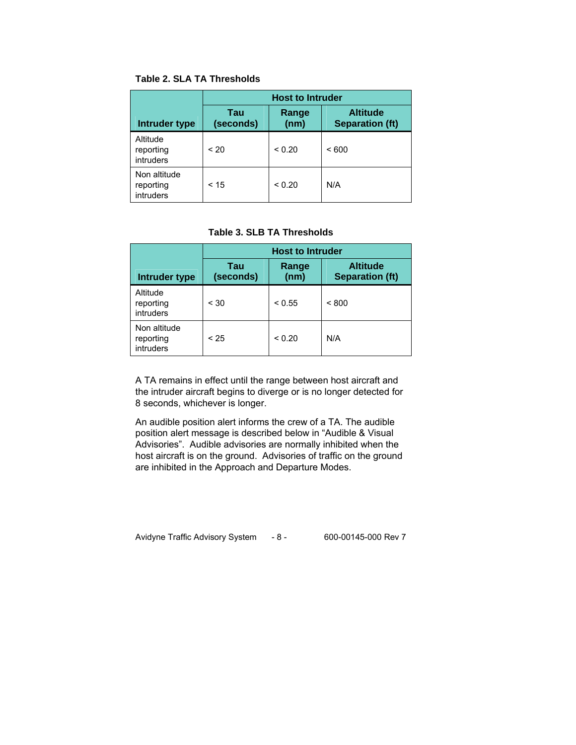## **Table 2. SLA TA Thresholds**

|                                               | <b>Host to Intruder</b> |               |                                           |
|-----------------------------------------------|-------------------------|---------------|-------------------------------------------|
| Intruder type                                 | Tau<br>(seconds)        | Range<br>(nm) | <b>Altitude</b><br><b>Separation (ft)</b> |
| Altitude<br>reporting<br><b>intruders</b>     | ~120                    | ${}_{0.20}$   | ~< 600                                    |
| Non altitude<br>reporting<br><b>intruders</b> | < 15                    | ${}_{0.20}$   | N/A                                       |

#### **Table 3. SLB TA Thresholds**

|                                        | <b>Host to Intruder</b> |               |                                           |
|----------------------------------------|-------------------------|---------------|-------------------------------------------|
| Intruder type                          | Tau<br>(seconds)        | Range<br>(nm) | <b>Altitude</b><br><b>Separation (ft)</b> |
| Altitude<br>reporting<br>intruders     | < 30                    | < 0.55        | < 800                                     |
| Non altitude<br>reporting<br>intruders | < 25                    | ${}_{0.20}$   | N/A                                       |

A TA remains in effect until the range between host aircraft and the intruder aircraft begins to diverge or is no longer detected for 8 seconds, whichever is longer.

An audible position alert informs the crew of a TA. The audible position alert message is described below in "Audible & Visual Advisories". Audible advisories are normally inhibited when the host aircraft is on the ground. Advisories of traffic on the ground are inhibited in the Approach and Departure Modes.

Avidyne Traffic Advisory System - 8 - 600-00145-000 Rev 7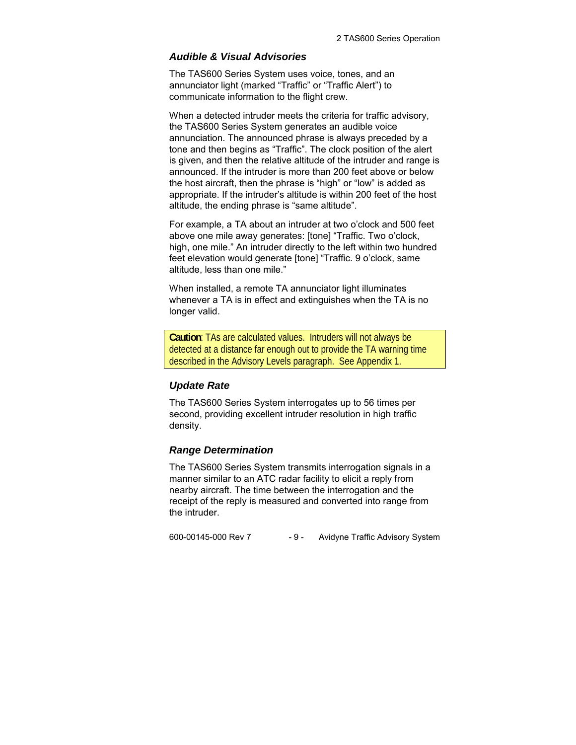### *Audible & Visual Advisories*

The TAS600 Series System uses voice, tones, and an annunciator light (marked "Traffic" or "Traffic Alert") to communicate information to the flight crew.

When a detected intruder meets the criteria for traffic advisory, the TAS600 Series System generates an audible voice annunciation. The announced phrase is always preceded by a tone and then begins as "Traffic". The clock position of the alert is given, and then the relative altitude of the intruder and range is announced. If the intruder is more than 200 feet above or below the host aircraft, then the phrase is "high" or "low" is added as appropriate. If the intruder's altitude is within 200 feet of the host altitude, the ending phrase is "same altitude".

For example, a TA about an intruder at two o'clock and 500 feet above one mile away generates: [tone] "Traffic. Two o'clock, high, one mile." An intruder directly to the left within two hundred feet elevation would generate [tone] "Traffic. 9 o'clock, same altitude, less than one mile."

When installed, a remote TA annunciator light illuminates whenever a TA is in effect and extinguishes when the TA is no longer valid.

**Caution**: TAs are calculated values. Intruders will not always be detected at a distance far enough out to provide the TA warning time described in the Advisory Levels paragraph. See Appendix 1.

#### *Update Rate*

The TAS600 Series System interrogates up to 56 times per second, providing excellent intruder resolution in high traffic density.

#### *Range Determination*

The TAS600 Series System transmits interrogation signals in a manner similar to an ATC radar facility to elicit a reply from nearby aircraft. The time between the interrogation and the receipt of the reply is measured and converted into range from the intruder.

600-00145-000 Rev 7 - 9 - Avidyne Traffic Advisory System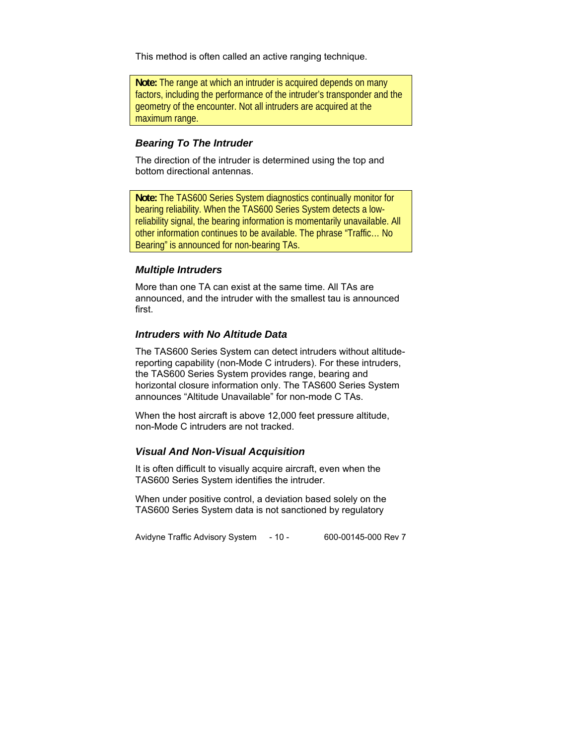This method is often called an active ranging technique.

**Note:** The range at which an intruder is acquired depends on many factors, including the performance of the intruder's transponder and the geometry of the encounter. Not all intruders are acquired at the maximum range.

#### *Bearing To The Intruder*

The direction of the intruder is determined using the top and bottom directional antennas.

**Note:** The TAS600 Series System diagnostics continually monitor for bearing reliability. When the TAS600 Series System detects a lowreliability signal, the bearing information is momentarily unavailable. All other information continues to be available. The phrase "Traffic… No Bearing" is announced for non-bearing TAs.

#### *Multiple Intruders*

More than one TA can exist at the same time. All TAs are announced, and the intruder with the smallest tau is announced first.

### *Intruders with No Altitude Data*

The TAS600 Series System can detect intruders without altitudereporting capability (non-Mode C intruders). For these intruders, the TAS600 Series System provides range, bearing and horizontal closure information only. The TAS600 Series System announces "Altitude Unavailable" for non-mode C TAs.

When the host aircraft is above 12,000 feet pressure altitude, non-Mode C intruders are not tracked.

#### *Visual And Non-Visual Acquisition*

It is often difficult to visually acquire aircraft, even when the TAS600 Series System identifies the intruder.

When under positive control, a deviation based solely on the TAS600 Series System data is not sanctioned by regulatory

Avidyne Traffic Advisory System - 10 - 600-00145-000 Rev 7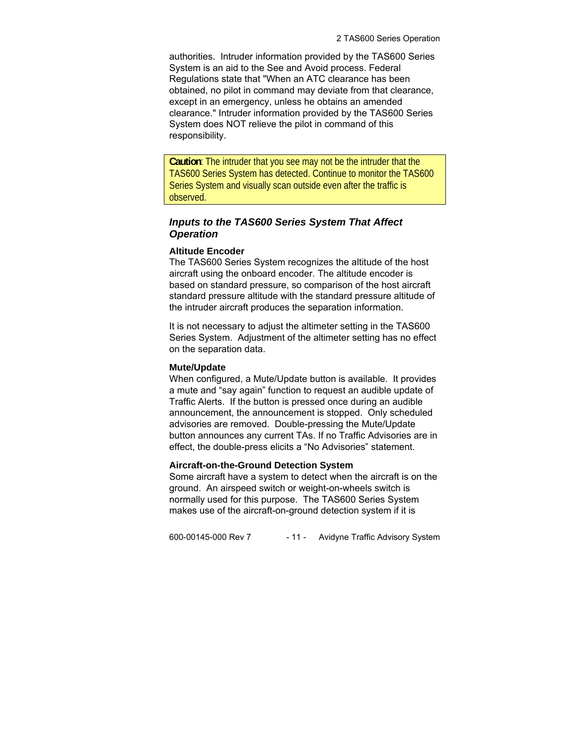authorities. Intruder information provided by the TAS600 Series System is an aid to the See and Avoid process. Federal Regulations state that "When an ATC clearance has been obtained, no pilot in command may deviate from that clearance, except in an emergency, unless he obtains an amended clearance." Intruder information provided by the TAS600 Series System does NOT relieve the pilot in command of this responsibility.

**Caution**: The intruder that you see may not be the intruder that the TAS600 Series System has detected. Continue to monitor the TAS600 Series System and visually scan outside even after the traffic is observed.

## *Inputs to the TAS600 Series System That Affect Operation*

#### **Altitude Encoder**

The TAS600 Series System recognizes the altitude of the host aircraft using the onboard encoder. The altitude encoder is based on standard pressure, so comparison of the host aircraft standard pressure altitude with the standard pressure altitude of the intruder aircraft produces the separation information.

It is not necessary to adjust the altimeter setting in the TAS600 Series System. Adjustment of the altimeter setting has no effect on the separation data.

#### **Mute/Update**

When configured, a Mute/Update button is available. It provides a mute and "say again" function to request an audible update of Traffic Alerts. If the button is pressed once during an audible announcement, the announcement is stopped. Only scheduled advisories are removed. Double-pressing the Mute/Update button announces any current TAs. If no Traffic Advisories are in effect, the double-press elicits a "No Advisories" statement.

#### **Aircraft-on-the-Ground Detection System**

Some aircraft have a system to detect when the aircraft is on the ground. An airspeed switch or weight-on-wheels switch is normally used for this purpose. The TAS600 Series System makes use of the aircraft-on-ground detection system if it is

600-00145-000 Rev 7 - 11 - Avidyne Traffic Advisory System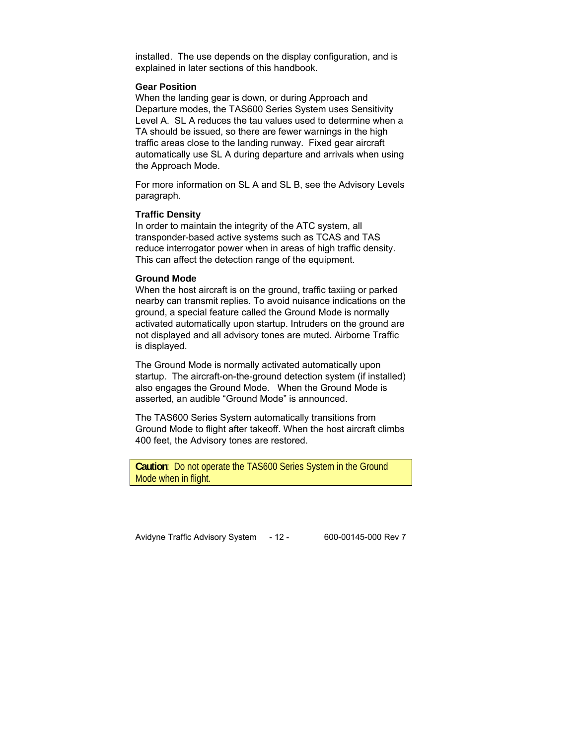installed. The use depends on the display configuration, and is explained in later sections of this handbook.

#### **Gear Position**

When the landing gear is down, or during Approach and Departure modes, the TAS600 Series System uses Sensitivity Level A. SL A reduces the tau values used to determine when a TA should be issued, so there are fewer warnings in the high traffic areas close to the landing runway. Fixed gear aircraft automatically use SL A during departure and arrivals when using the Approach Mode.

For more information on SL A and SL B, see the Advisory Levels paragraph.

#### **Traffic Density**

In order to maintain the integrity of the ATC system, all transponder-based active systems such as TCAS and TAS reduce interrogator power when in areas of high traffic density. This can affect the detection range of the equipment.

#### **Ground Mode**

When the host aircraft is on the ground, traffic taxiing or parked nearby can transmit replies. To avoid nuisance indications on the ground, a special feature called the Ground Mode is normally activated automatically upon startup. Intruders on the ground are not displayed and all advisory tones are muted. Airborne Traffic is displayed.

The Ground Mode is normally activated automatically upon startup. The aircraft-on-the-ground detection system (if installed) also engages the Ground Mode. When the Ground Mode is asserted, an audible "Ground Mode" is announced.

The TAS600 Series System automatically transitions from Ground Mode to flight after takeoff. When the host aircraft climbs 400 feet, the Advisory tones are restored.

**Caution**: Do not operate the TAS600 Series System in the Ground Mode when in flight.

Avidyne Traffic Advisory System - 12 - 600-00145-000 Rev 7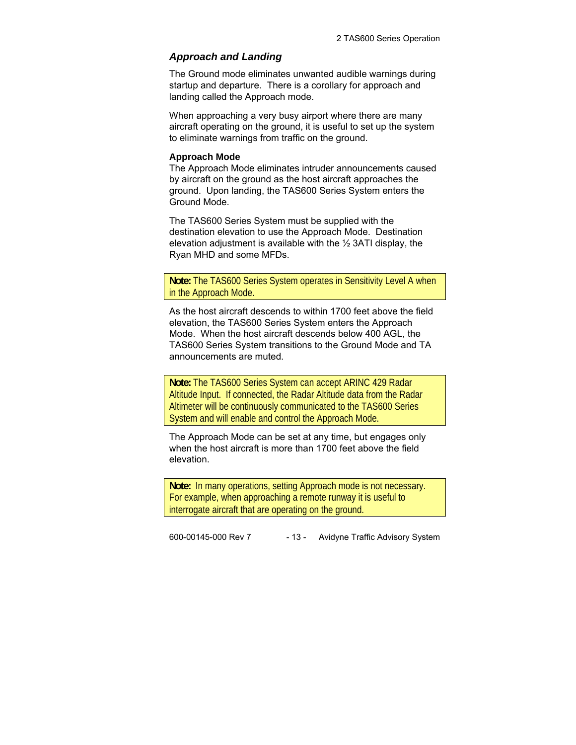#### *Approach and Landing*

The Ground mode eliminates unwanted audible warnings during startup and departure. There is a corollary for approach and landing called the Approach mode.

When approaching a very busy airport where there are many aircraft operating on the ground, it is useful to set up the system to eliminate warnings from traffic on the ground.

#### **Approach Mode**

The Approach Mode eliminates intruder announcements caused by aircraft on the ground as the host aircraft approaches the ground. Upon landing, the TAS600 Series System enters the Ground Mode.

The TAS600 Series System must be supplied with the destination elevation to use the Approach Mode. Destination elevation adjustment is available with the  $\frac{1}{2}$  3ATI display, the Ryan MHD and some MFDs.

**Note:** The TAS600 Series System operates in Sensitivity Level A when in the Approach Mode.

As the host aircraft descends to within 1700 feet above the field elevation, the TAS600 Series System enters the Approach Mode. When the host aircraft descends below 400 AGL, the TAS600 Series System transitions to the Ground Mode and TA announcements are muted.

**Note:** The TAS600 Series System can accept ARINC 429 Radar Altitude Input. If connected, the Radar Altitude data from the Radar Altimeter will be continuously communicated to the TAS600 Series System and will enable and control the Approach Mode.

The Approach Mode can be set at any time, but engages only when the host aircraft is more than 1700 feet above the field elevation.

**Note:** In many operations, setting Approach mode is not necessary. For example, when approaching a remote runway it is useful to interrogate aircraft that are operating on the ground.

600-00145-000 Rev 7 - 13 - Avidyne Traffic Advisory System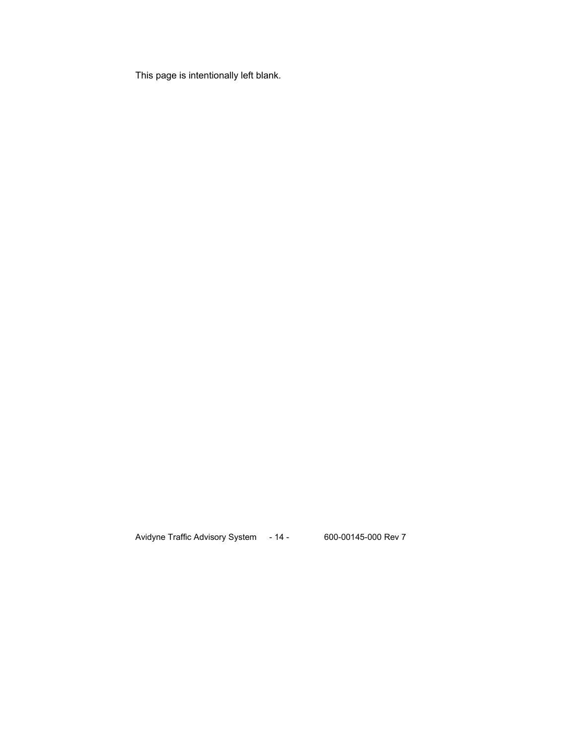This page is intentionally left blank.

Avidyne Traffic Advisory System - 14 - 600-00145-000 Rev 7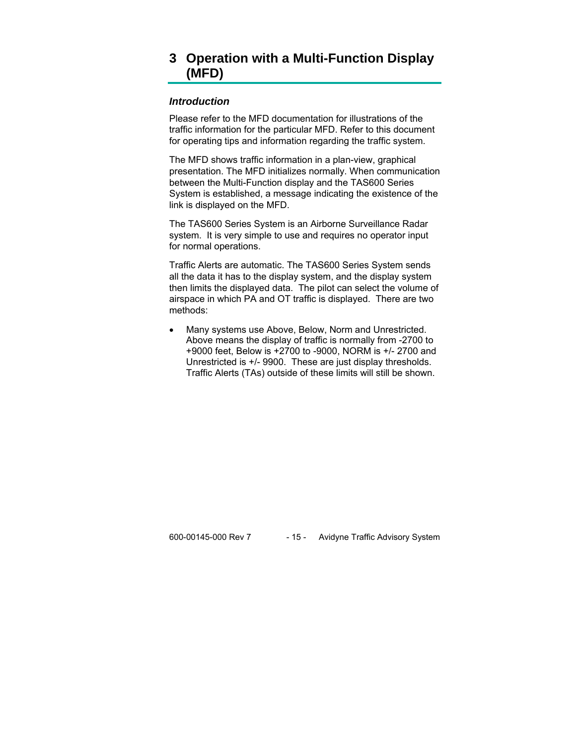## **3 Operation with a Multi-Function Display (MFD)**

#### *Introduction*

Please refer to the MFD documentation for illustrations of the traffic information for the particular MFD. Refer to this document for operating tips and information regarding the traffic system.

The MFD shows traffic information in a plan-view, graphical presentation. The MFD initializes normally. When communication between the Multi-Function display and the TAS600 Series System is established, a message indicating the existence of the link is displayed on the MFD.

The TAS600 Series System is an Airborne Surveillance Radar system. It is very simple to use and requires no operator input for normal operations.

Traffic Alerts are automatic. The TAS600 Series System sends all the data it has to the display system, and the display system then limits the displayed data. The pilot can select the volume of airspace in which PA and OT traffic is displayed. There are two methods:

Many systems use Above, Below, Norm and Unrestricted. Above means the display of traffic is normally from -2700 to +9000 feet, Below is +2700 to -9000, NORM is +/- 2700 and Unrestricted is +/- 9900. These are just display thresholds. Traffic Alerts (TAs) outside of these limits will still be shown.

600-00145-000 Rev 7 - 15 - Avidyne Traffic Advisory System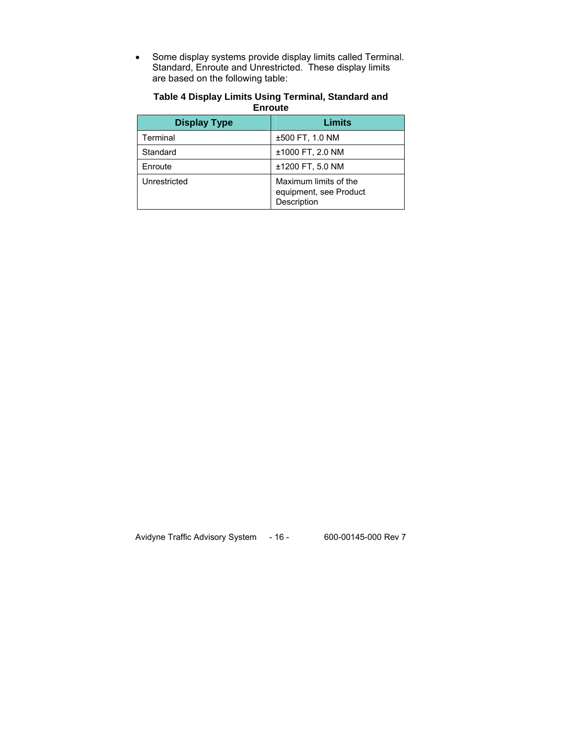• Some display systems provide display limits called Terminal. Standard, Enroute and Unrestricted. These display limits are based on the following table:

#### **Table 4 Display Limits Using Terminal, Standard and Enroute**

| <b>Display Type</b> | Limits                                                         |
|---------------------|----------------------------------------------------------------|
| Terminal            | ±500 FT, 1.0 NM                                                |
| Standard            | ±1000 FT, 2.0 NM                                               |
| Enroute             | ±1200 FT, 5.0 NM                                               |
| Unrestricted        | Maximum limits of the<br>equipment, see Product<br>Description |

Avidyne Traffic Advisory System - 16 - 600-00145-000 Rev 7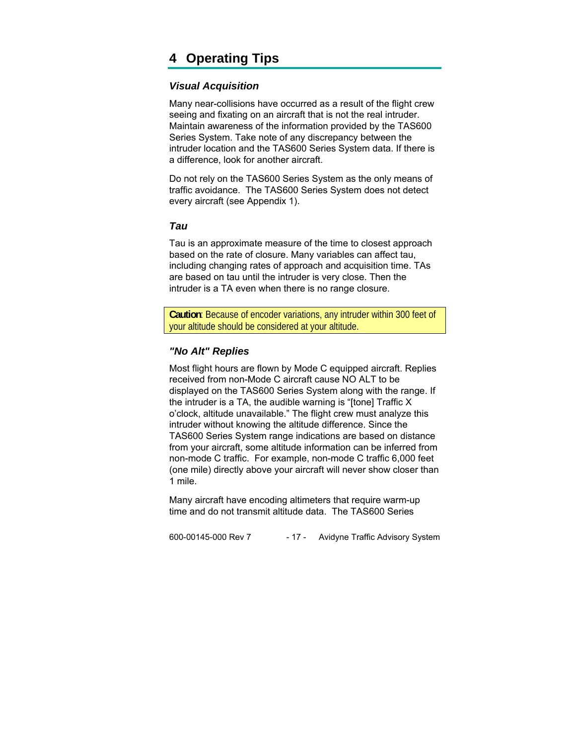## **4 Operating Tips**

### *Visual Acquisition*

Many near-collisions have occurred as a result of the flight crew seeing and fixating on an aircraft that is not the real intruder. Maintain awareness of the information provided by the TAS600 Series System. Take note of any discrepancy between the intruder location and the TAS600 Series System data. If there is a difference, look for another aircraft.

Do not rely on the TAS600 Series System as the only means of traffic avoidance. The TAS600 Series System does not detect every aircraft (see Appendix 1).

## *Tau*

Tau is an approximate measure of the time to closest approach based on the rate of closure. Many variables can affect tau, including changing rates of approach and acquisition time. TAs are based on tau until the intruder is very close. Then the intruder is a TA even when there is no range closure.

**Caution**: Because of encoder variations, any intruder within 300 feet of your altitude should be considered at your altitude.

## *"No Alt" Replies*

Most flight hours are flown by Mode C equipped aircraft. Replies received from non-Mode C aircraft cause NO ALT to be displayed on the TAS600 Series System along with the range. If the intruder is a TA, the audible warning is "[tone] Traffic X o'clock, altitude unavailable." The flight crew must analyze this intruder without knowing the altitude difference. Since the TAS600 Series System range indications are based on distance from your aircraft, some altitude information can be inferred from non-mode C traffic. For example, non-mode C traffic 6,000 feet (one mile) directly above your aircraft will never show closer than 1 mile.

Many aircraft have encoding altimeters that require warm-up time and do not transmit altitude data. The TAS600 Series

600-00145-000 Rev 7 - 17 - Avidyne Traffic Advisory System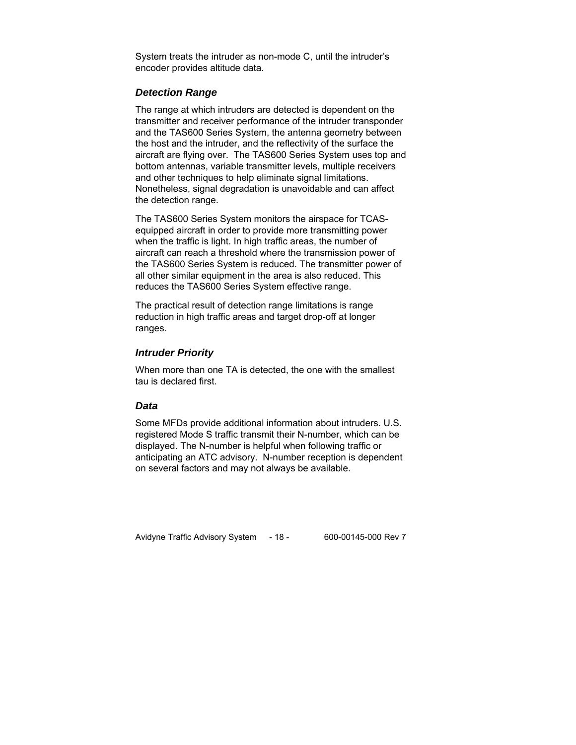System treats the intruder as non-mode C, until the intruder's encoder provides altitude data.

#### *Detection Range*

The range at which intruders are detected is dependent on the transmitter and receiver performance of the intruder transponder and the TAS600 Series System, the antenna geometry between the host and the intruder, and the reflectivity of the surface the aircraft are flying over. The TAS600 Series System uses top and bottom antennas, variable transmitter levels, multiple receivers and other techniques to help eliminate signal limitations. Nonetheless, signal degradation is unavoidable and can affect the detection range.

The TAS600 Series System monitors the airspace for TCASequipped aircraft in order to provide more transmitting power when the traffic is light. In high traffic areas, the number of aircraft can reach a threshold where the transmission power of the TAS600 Series System is reduced. The transmitter power of all other similar equipment in the area is also reduced. This reduces the TAS600 Series System effective range.

The practical result of detection range limitations is range reduction in high traffic areas and target drop-off at longer ranges.

#### *Intruder Priority*

When more than one TA is detected, the one with the smallest tau is declared first.

#### *Data*

Some MFDs provide additional information about intruders. U.S. registered Mode S traffic transmit their N-number, which can be displayed. The N-number is helpful when following traffic or anticipating an ATC advisory. N-number reception is dependent on several factors and may not always be available.

Avidyne Traffic Advisory System - 18 - 600-00145-000 Rev 7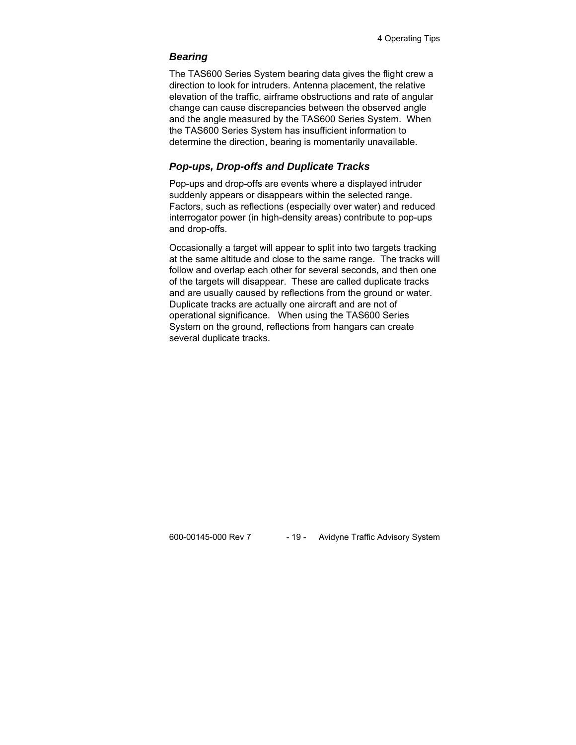### *Bearing*

The TAS600 Series System bearing data gives the flight crew a direction to look for intruders. Antenna placement, the relative elevation of the traffic, airframe obstructions and rate of angular change can cause discrepancies between the observed angle and the angle measured by the TAS600 Series System. When the TAS600 Series System has insufficient information to determine the direction, bearing is momentarily unavailable.

#### *Pop-ups, Drop-offs and Duplicate Tracks*

Pop-ups and drop-offs are events where a displayed intruder suddenly appears or disappears within the selected range. Factors, such as reflections (especially over water) and reduced interrogator power (in high-density areas) contribute to pop-ups and drop-offs.

Occasionally a target will appear to split into two targets tracking at the same altitude and close to the same range. The tracks will follow and overlap each other for several seconds, and then one of the targets will disappear. These are called duplicate tracks and are usually caused by reflections from the ground or water. Duplicate tracks are actually one aircraft and are not of operational significance. When using the TAS600 Series System on the ground, reflections from hangars can create several duplicate tracks.

600-00145-000 Rev 7 - 19 - Avidyne Traffic Advisory System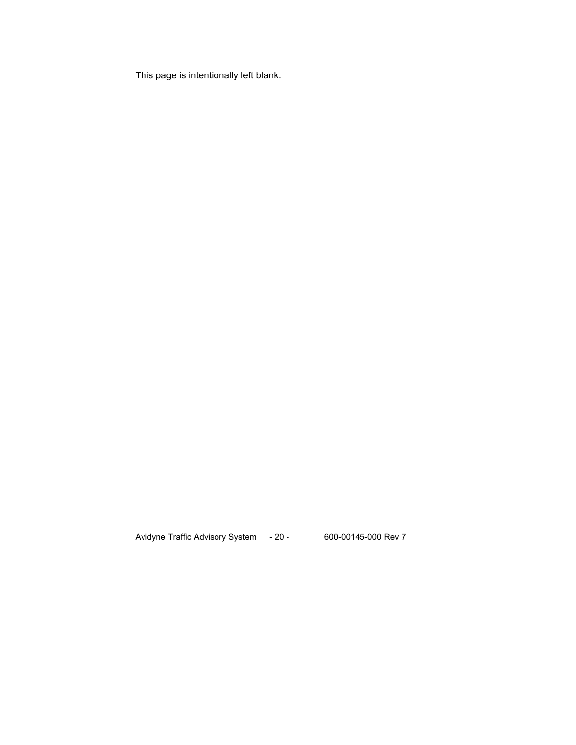This page is intentionally left blank.

Avidyne Traffic Advisory System - 20 - 600-00145-000 Rev 7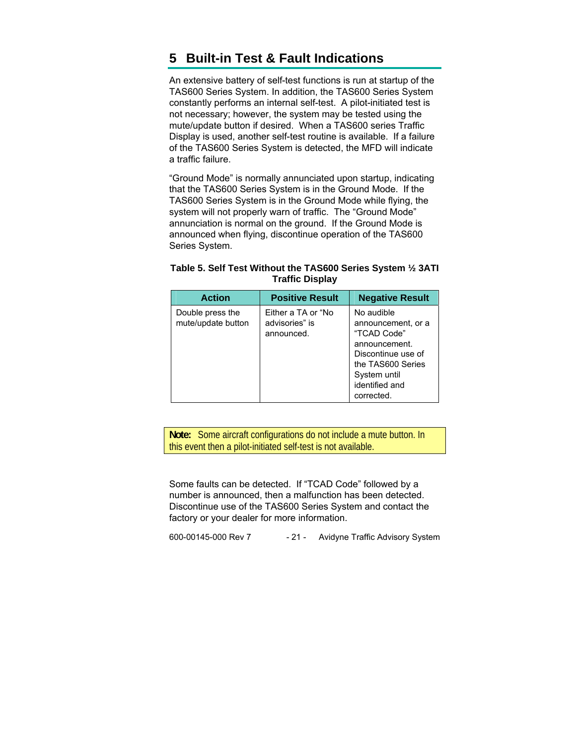## **5 Built-in Test & Fault Indications**

An extensive battery of self-test functions is run at startup of the TAS600 Series System. In addition, the TAS600 Series System constantly performs an internal self-test. A pilot-initiated test is not necessary; however, the system may be tested using the mute/update button if desired. When a TAS600 series Traffic Display is used, another self-test routine is available. If a failure of the TAS600 Series System is detected, the MFD will indicate a traffic failure.

"Ground Mode" is normally annunciated upon startup, indicating that the TAS600 Series System is in the Ground Mode. If the TAS600 Series System is in the Ground Mode while flying, the system will not properly warn of traffic. The "Ground Mode" annunciation is normal on the ground. If the Ground Mode is announced when flying, discontinue operation of the TAS600 Series System.

| Table 5. Self Test Without the TAS600 Series System $\%$ 3ATI |
|---------------------------------------------------------------|
| <b>Traffic Display</b>                                        |

| <b>Action</b>                          | <b>Positive Result</b>                             | <b>Negative Result</b>                                                                                                                                      |
|----------------------------------------|----------------------------------------------------|-------------------------------------------------------------------------------------------------------------------------------------------------------------|
| Double press the<br>mute/update button | Either a TA or "No<br>advisories" is<br>announced. | No audible<br>announcement, or a<br>"TCAD Code"<br>announcement.<br>Discontinue use of<br>the TAS600 Series<br>System until<br>identified and<br>corrected. |

**Note:** Some aircraft configurations do not include a mute button. In this event then a pilot-initiated self-test is not available.

Some faults can be detected. If "TCAD Code" followed by a number is announced, then a malfunction has been detected. Discontinue use of the TAS600 Series System and contact the factory or your dealer for more information.

600-00145-000 Rev 7 - 21 - Avidyne Traffic Advisory System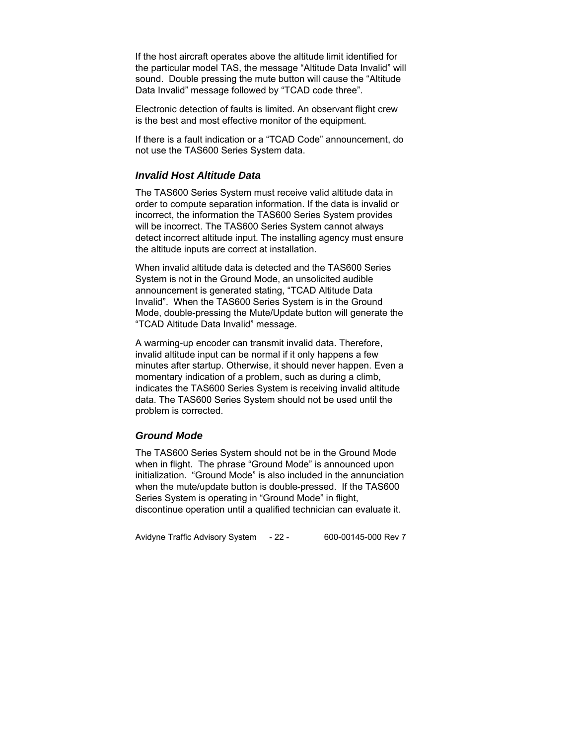If the host aircraft operates above the altitude limit identified for the particular model TAS, the message "Altitude Data Invalid" will sound. Double pressing the mute button will cause the "Altitude Data Invalid" message followed by "TCAD code three".

Electronic detection of faults is limited. An observant flight crew is the best and most effective monitor of the equipment.

If there is a fault indication or a "TCAD Code" announcement, do not use the TAS600 Series System data.

#### *Invalid Host Altitude Data*

The TAS600 Series System must receive valid altitude data in order to compute separation information. If the data is invalid or incorrect, the information the TAS600 Series System provides will be incorrect. The TAS600 Series System cannot always detect incorrect altitude input. The installing agency must ensure the altitude inputs are correct at installation.

When invalid altitude data is detected and the TAS600 Series System is not in the Ground Mode, an unsolicited audible announcement is generated stating, "TCAD Altitude Data Invalid". When the TAS600 Series System is in the Ground Mode, double-pressing the Mute/Update button will generate the "TCAD Altitude Data Invalid" message.

A warming-up encoder can transmit invalid data. Therefore, invalid altitude input can be normal if it only happens a few minutes after startup. Otherwise, it should never happen. Even a momentary indication of a problem, such as during a climb, indicates the TAS600 Series System is receiving invalid altitude data. The TAS600 Series System should not be used until the problem is corrected.

#### *Ground Mode*

The TAS600 Series System should not be in the Ground Mode when in flight. The phrase "Ground Mode" is announced upon initialization. "Ground Mode" is also included in the annunciation when the mute/update button is double-pressed. If the TAS600 Series System is operating in "Ground Mode" in flight, discontinue operation until a qualified technician can evaluate it.

Avidyne Traffic Advisory System - 22 - 600-00145-000 Rev 7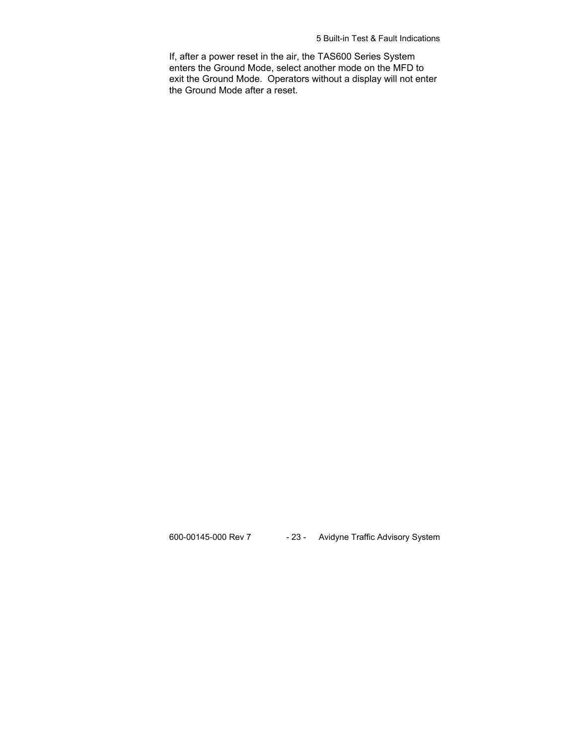If, after a power reset in the air, the TAS600 Series System enters the Ground Mode, select another mode on the MFD to exit the Ground Mode. Operators without a display will not enter the Ground Mode after a reset.

600-00145-000 Rev 7 - 23 - Avidyne Traffic Advisory System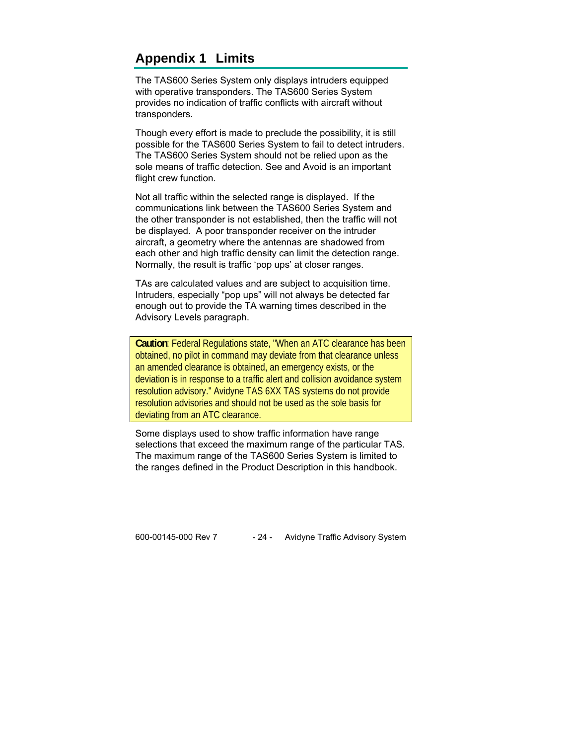## **Appendix 1 Limits**

The TAS600 Series System only displays intruders equipped with operative transponders. The TAS600 Series System provides no indication of traffic conflicts with aircraft without transponders.

Though every effort is made to preclude the possibility, it is still possible for the TAS600 Series System to fail to detect intruders. The TAS600 Series System should not be relied upon as the sole means of traffic detection. See and Avoid is an important flight crew function.

Not all traffic within the selected range is displayed. If the communications link between the TAS600 Series System and the other transponder is not established, then the traffic will not be displayed. A poor transponder receiver on the intruder aircraft, a geometry where the antennas are shadowed from each other and high traffic density can limit the detection range. Normally, the result is traffic 'pop ups' at closer ranges.

TAs are calculated values and are subject to acquisition time. Intruders, especially "pop ups" will not always be detected far enough out to provide the TA warning times described in the Advisory Levels paragraph.

**Caution**: Federal Regulations state, "When an ATC clearance has been obtained, no pilot in command may deviate from that clearance unless an amended clearance is obtained, an emergency exists, or the deviation is in response to a traffic alert and collision avoidance system resolution advisory." Avidyne TAS 6XX TAS systems do not provide resolution advisories and should not be used as the sole basis for deviating from an ATC clearance.

Some displays used to show traffic information have range selections that exceed the maximum range of the particular TAS. The maximum range of the TAS600 Series System is limited to the ranges defined in the Product Description in this handbook.

600-00145-000 Rev 7 - 24 - Avidyne Traffic Advisory System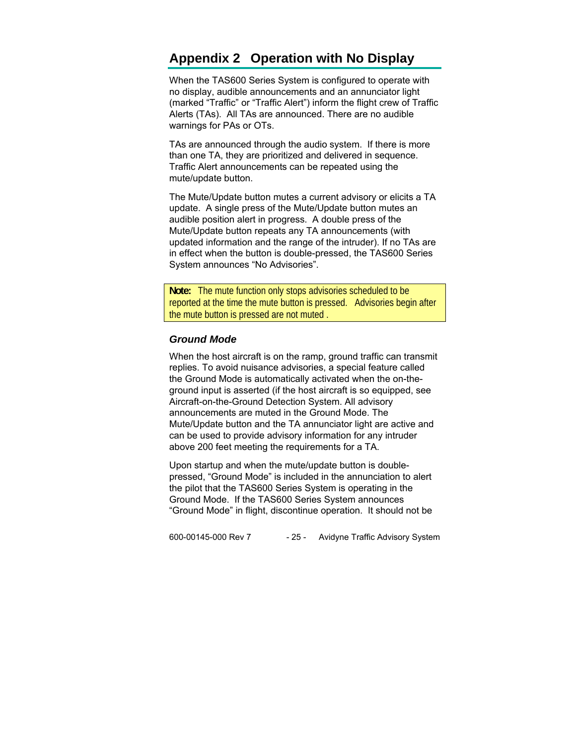## **Appendix 2 Operation with No Display**

When the TAS600 Series System is configured to operate with no display, audible announcements and an annunciator light (marked "Traffic" or "Traffic Alert") inform the flight crew of Traffic Alerts (TAs). All TAs are announced. There are no audible warnings for PAs or OTs.

TAs are announced through the audio system. If there is more than one TA, they are prioritized and delivered in sequence. Traffic Alert announcements can be repeated using the mute/update button.

The Mute/Update button mutes a current advisory or elicits a TA update. A single press of the Mute/Update button mutes an audible position alert in progress. A double press of the Mute/Update button repeats any TA announcements (with updated information and the range of the intruder). If no TAs are in effect when the button is double-pressed, the TAS600 Series System announces "No Advisories".

**Note:** The mute function only stops advisories scheduled to be reported at the time the mute button is pressed. Advisories begin after the mute button is pressed are not muted .

#### *Ground Mode*

When the host aircraft is on the ramp, ground traffic can transmit replies. To avoid nuisance advisories, a special feature called the Ground Mode is automatically activated when the on-theground input is asserted (if the host aircraft is so equipped, see Aircraft-on-the-Ground Detection System. All advisory announcements are muted in the Ground Mode. The Mute/Update button and the TA annunciator light are active and can be used to provide advisory information for any intruder above 200 feet meeting the requirements for a TA.

Upon startup and when the mute/update button is doublepressed, "Ground Mode" is included in the annunciation to alert the pilot that the TAS600 Series System is operating in the Ground Mode. If the TAS600 Series System announces "Ground Mode" in flight, discontinue operation. It should not be

600-00145-000 Rev 7 - 25 - Avidyne Traffic Advisory System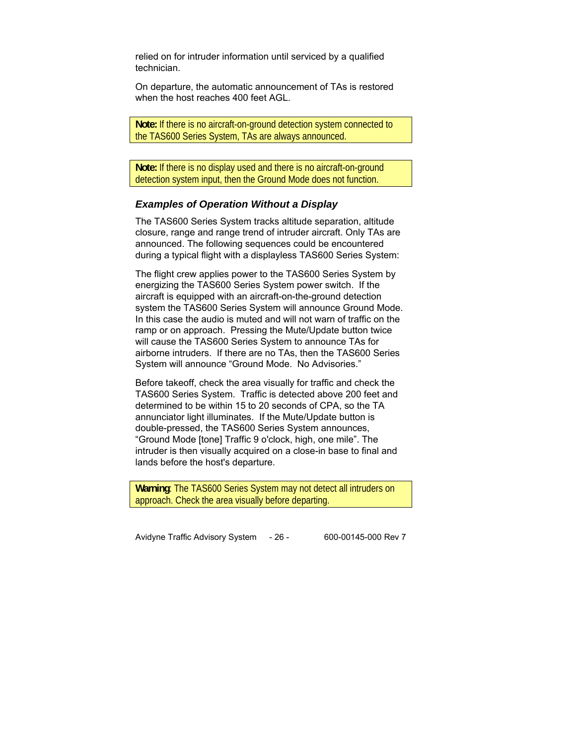relied on for intruder information until serviced by a qualified technician.

On departure, the automatic announcement of TAs is restored when the host reaches 400 feet AGL.

**Note:** If there is no aircraft-on-ground detection system connected to the TAS600 Series System, TAs are always announced.

**Note:** If there is no display used and there is no aircraft-on-ground detection system input, then the Ground Mode does not function.

#### *Examples of Operation Without a Display*

The TAS600 Series System tracks altitude separation, altitude closure, range and range trend of intruder aircraft. Only TAs are announced. The following sequences could be encountered during a typical flight with a displayless TAS600 Series System:

The flight crew applies power to the TAS600 Series System by energizing the TAS600 Series System power switch. If the aircraft is equipped with an aircraft-on-the-ground detection system the TAS600 Series System will announce Ground Mode. In this case the audio is muted and will not warn of traffic on the ramp or on approach. Pressing the Mute/Update button twice will cause the TAS600 Series System to announce TAs for airborne intruders. If there are no TAs, then the TAS600 Series System will announce "Ground Mode. No Advisories."

Before takeoff, check the area visually for traffic and check the TAS600 Series System. Traffic is detected above 200 feet and determined to be within 15 to 20 seconds of CPA, so the TA annunciator light illuminates. If the Mute/Update button is double-pressed, the TAS600 Series System announces, "Ground Mode [tone] Traffic 9 o'clock, high, one mile". The intruder is then visually acquired on a close-in base to final and lands before the host's departure.

**Warning**: The TAS600 Series System may not detect all intruders on approach. Check the area visually before departing.

Avidyne Traffic Advisory System - 26 - 600-00145-000 Rev 7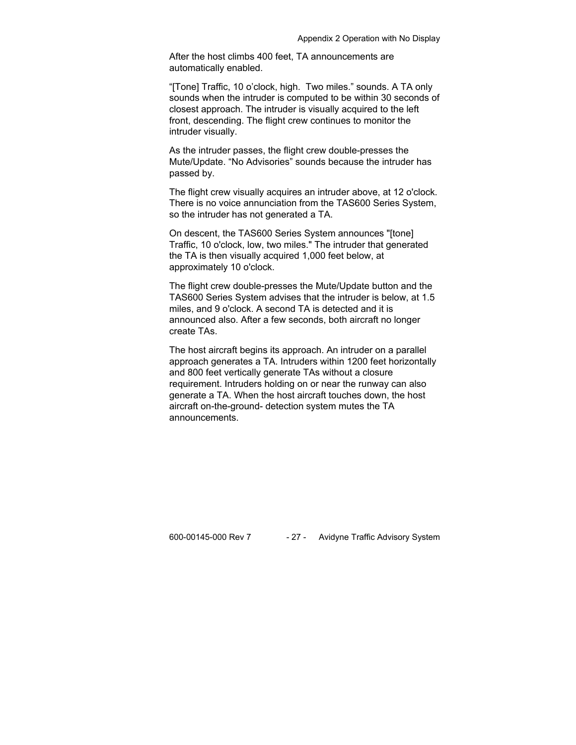After the host climbs 400 feet, TA announcements are automatically enabled.

"[Tone] Traffic, 10 o'clock, high. Two miles." sounds. A TA only sounds when the intruder is computed to be within 30 seconds of closest approach. The intruder is visually acquired to the left front, descending. The flight crew continues to monitor the intruder visually.

As the intruder passes, the flight crew double-presses the Mute/Update. "No Advisories" sounds because the intruder has passed by.

The flight crew visually acquires an intruder above, at 12 o'clock. There is no voice annunciation from the TAS600 Series System, so the intruder has not generated a TA.

On descent, the TAS600 Series System announces "[tone] Traffic, 10 o'clock, low, two miles." The intruder that generated the TA is then visually acquired 1,000 feet below, at approximately 10 o'clock.

The flight crew double-presses the Mute/Update button and the TAS600 Series System advises that the intruder is below, at 1.5 miles, and 9 o'clock. A second TA is detected and it is announced also. After a few seconds, both aircraft no longer create TAs.

The host aircraft begins its approach. An intruder on a parallel approach generates a TA. Intruders within 1200 feet horizontally and 800 feet vertically generate TAs without a closure requirement. Intruders holding on or near the runway can also generate a TA. When the host aircraft touches down, the host aircraft on-the-ground- detection system mutes the TA announcements.

600-00145-000 Rev 7 - 27 - Avidyne Traffic Advisory System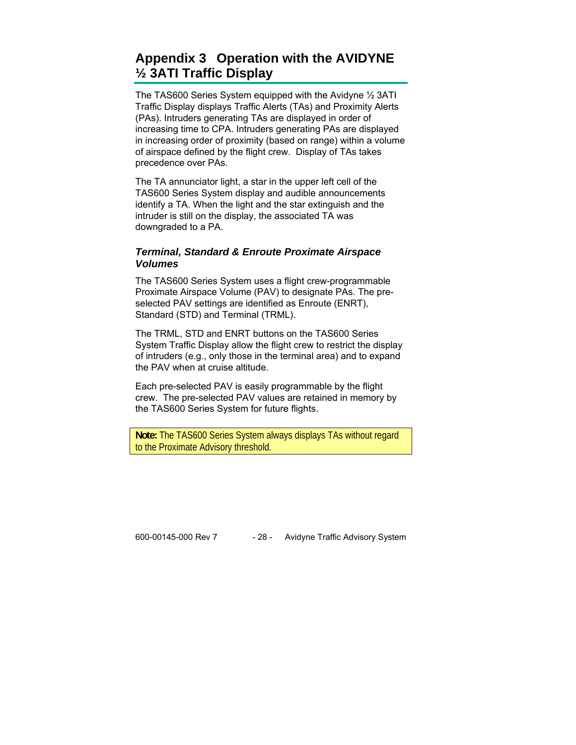## **Appendix 3 Operation with the AVIDYNE ½ 3ATI Traffic Display**

The TAS600 Series System equipped with the Avidyne ½ 3ATI Traffic Display displays Traffic Alerts (TAs) and Proximity Alerts (PAs). Intruders generating TAs are displayed in order of increasing time to CPA. Intruders generating PAs are displayed in increasing order of proximity (based on range) within a volume of airspace defined by the flight crew. Display of TAs takes precedence over PAs.

The TA annunciator light, a star in the upper left cell of the TAS600 Series System display and audible announcements identify a TA. When the light and the star extinguish and the intruder is still on the display, the associated TA was downgraded to a PA.

## *Terminal, Standard & Enroute Proximate Airspace Volumes*

The TAS600 Series System uses a flight crew-programmable Proximate Airspace Volume (PAV) to designate PAs. The preselected PAV settings are identified as Enroute (ENRT), Standard (STD) and Terminal (TRML).

The TRML, STD and ENRT buttons on the TAS600 Series System Traffic Display allow the flight crew to restrict the display of intruders (e.g., only those in the terminal area) and to expand the PAV when at cruise altitude.

Each pre-selected PAV is easily programmable by the flight crew. The pre-selected PAV values are retained in memory by the TAS600 Series System for future flights.

**Note:** The TAS600 Series System always displays TAs without regard to the Proximate Advisory threshold.

600-00145-000 Rev 7 - 28 - Avidyne Traffic Advisory System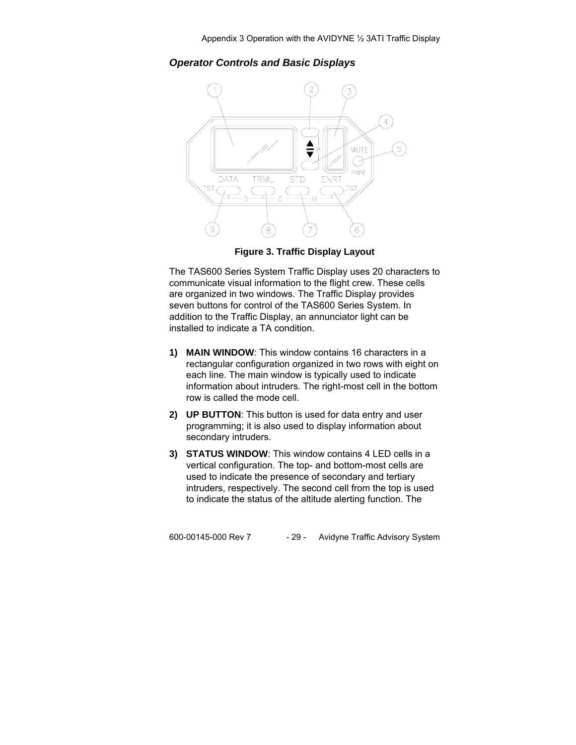# *Operator Controls and Basic Displays*



**Figure 3. Traffic Display Layout** 

The TAS600 Series System Traffic Display uses 20 characters to communicate visual information to the flight crew. These cells are organized in two windows. The Traffic Display provides seven buttons for control of the TAS600 Series System. In addition to the Traffic Display, an annunciator light can be installed to indicate a TA condition.

- **1) MAIN WINDOW**: This window contains 16 characters in a rectangular configuration organized in two rows with eight on each line. The main window is typically used to indicate information about intruders. The right-most cell in the bottom row is called the mode cell.
- **2) UP BUTTON**: This button is used for data entry and user programming; it is also used to display information about secondary intruders.
- **3) STATUS WINDOW**: This window contains 4 LED cells in a vertical configuration. The top- and bottom-most cells are used to indicate the presence of secondary and tertiary intruders, respectively. The second cell from the top is used to indicate the status of the altitude alerting function. The

600-00145-000 Rev 7 - 29 - Avidyne Traffic Advisory System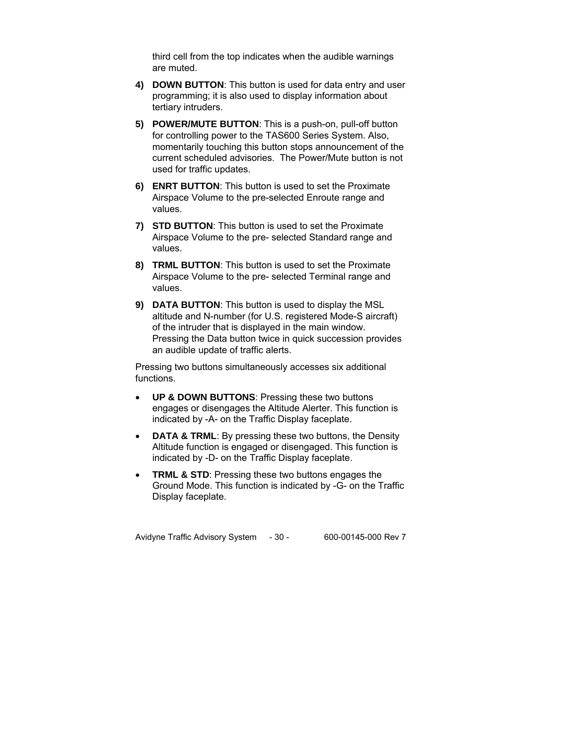third cell from the top indicates when the audible warnings are muted.

- **4) DOWN BUTTON**: This button is used for data entry and user programming; it is also used to display information about tertiary intruders.
- **5) POWER/MUTE BUTTON**: This is a push-on, pull-off button for controlling power to the TAS600 Series System. Also, momentarily touching this button stops announcement of the current scheduled advisories. The Power/Mute button is not used for traffic updates.
- **6) ENRT BUTTON**: This button is used to set the Proximate Airspace Volume to the pre-selected Enroute range and values.
- **7) STD BUTTON**: This button is used to set the Proximate Airspace Volume to the pre- selected Standard range and values.
- **8) TRML BUTTON**: This button is used to set the Proximate Airspace Volume to the pre- selected Terminal range and values.
- **9) DATA BUTTON**: This button is used to display the MSL altitude and N-number (for U.S. registered Mode-S aircraft) of the intruder that is displayed in the main window. Pressing the Data button twice in quick succession provides an audible update of traffic alerts.

Pressing two buttons simultaneously accesses six additional functions.

- **UP & DOWN BUTTONS**: Pressing these two buttons engages or disengages the Altitude Alerter. This function is indicated by -A- on the Traffic Display faceplate.
- **DATA & TRML**: By pressing these two buttons, the Density Altitude function is engaged or disengaged. This function is indicated by -D- on the Traffic Display faceplate.
- **TRML & STD**: Pressing these two buttons engages the Ground Mode. This function is indicated by -G- on the Traffic Display faceplate.

Avidyne Traffic Advisory System - 30 - 600-00145-000 Rev 7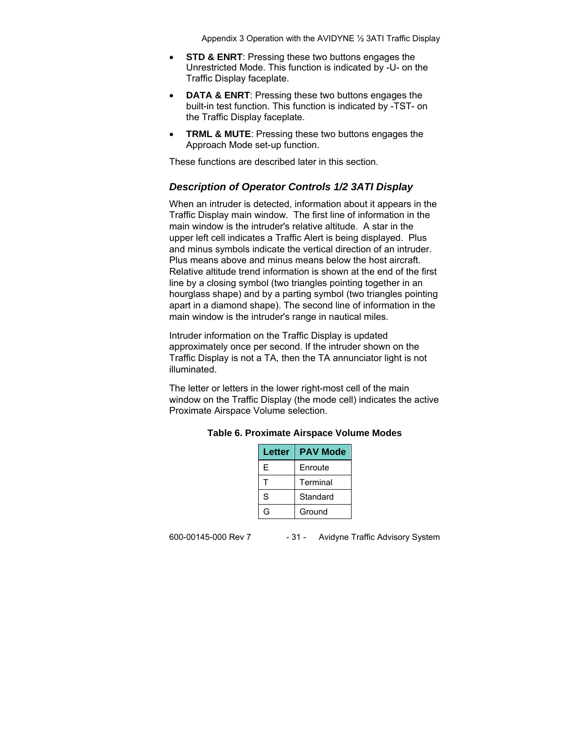- **STD & ENRT**: Pressing these two buttons engages the Unrestricted Mode. This function is indicated by -U- on the Traffic Display faceplate.
- **DATA & ENRT**: Pressing these two buttons engages the built-in test function. This function is indicated by -TST- on the Traffic Display faceplate.
- **TRML & MUTE**: Pressing these two buttons engages the Approach Mode set-up function.

These functions are described later in this section.

### *Description of Operator Controls 1/2 3ATI Display*

When an intruder is detected, information about it appears in the Traffic Display main window. The first line of information in the main window is the intruder's relative altitude. A star in the upper left cell indicates a Traffic Alert is being displayed. Plus and minus symbols indicate the vertical direction of an intruder. Plus means above and minus means below the host aircraft. Relative altitude trend information is shown at the end of the first line by a closing symbol (two triangles pointing together in an hourglass shape) and by a parting symbol (two triangles pointing apart in a diamond shape). The second line of information in the main window is the intruder's range in nautical miles.

Intruder information on the Traffic Display is updated approximately once per second. If the intruder shown on the Traffic Display is not a TA, then the TA annunciator light is not illuminated.

The letter or letters in the lower right-most cell of the main window on the Traffic Display (the mode cell) indicates the active Proximate Airspace Volume selection.

#### **Table 6. Proximate Airspace Volume Modes**

| Letter | <b>PAV Mode</b> |
|--------|-----------------|
| E      | Enroute         |
|        | Terminal        |
| S      | Standard        |
| G      | Ground          |

600-00145-000 Rev 7 - 31 - Avidyne Traffic Advisory System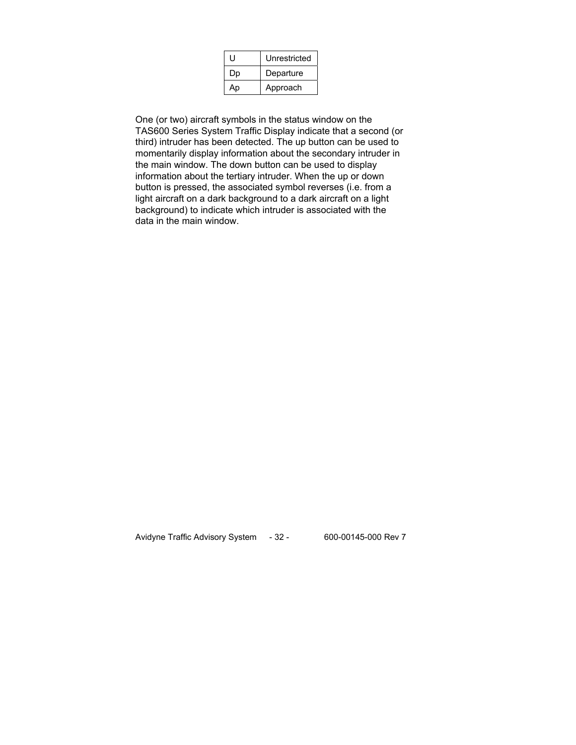| Ħ  | Unrestricted |
|----|--------------|
| Dp | Departure    |
| Ap | Approach     |

One (or two) aircraft symbols in the status window on the TAS600 Series System Traffic Display indicate that a second (or third) intruder has been detected. The up button can be used to momentarily display information about the secondary intruder in the main window. The down button can be used to display information about the tertiary intruder. When the up or down button is pressed, the associated symbol reverses (i.e. from a light aircraft on a dark background to a dark aircraft on a light background) to indicate which intruder is associated with the data in the main window.

Avidyne Traffic Advisory System - 32 - 600-00145-000 Rev 7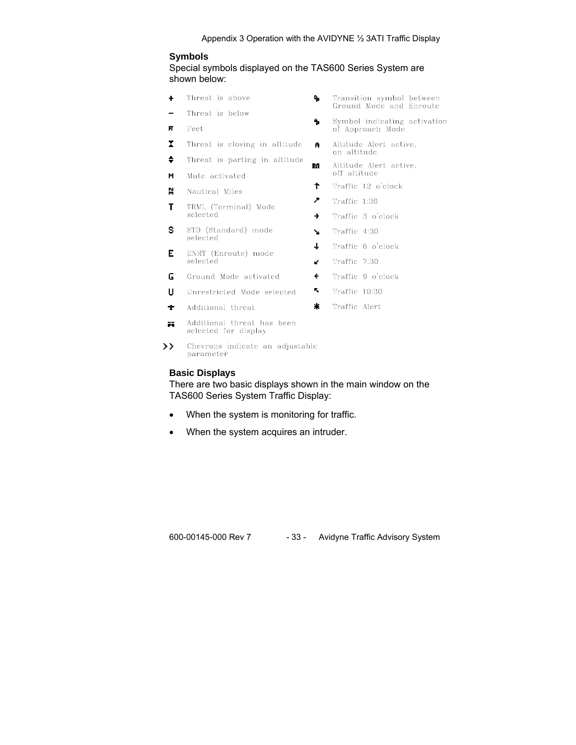#### **Symbols**

Special symbols displayed on the TAS600 Series System are shown below:

- Transition symbol between<br>Ground Mode and Enroute Threat is above  $\ddot{\phantom{1}}$ ۹,
- Threat is below .<br>. ٩, Symbol indicating activation  $\mathbf{H}$ Feet of Approach Mode  $\mathbf{r}$

m.

 $\uparrow$ 

 $\boldsymbol{z}$ 

÷

 $\leftarrow$ 

ĸ,

- Threat is closing in altitude Altitude Alert active,  $\mathbf{B}$ on altitude
- $\div$ Threat is parting in altitude
- м Mute activated
- M Nautical Miles
- T. TRML (Terminal) Mode selected
- STD (Standard) mode S.  $\mathbf{r}_\mathrm{d}$ Traffic 4:30 selected ¢. Traffic 6 o'clock
- E ENRT (Enroute) mode selected
- Traffic 7:30  $\mathbf{r}^{\prime}$

Altitude Alert active,

Traffic 12 o'clock

Traffic 3 o'clock

Traffic 9 o'clock

Traffic 10:30

off altitude

Traffic 1:30

- G. Ground Mode activated
- $\mathbf{U}$ Unrestricted Mode selected
- Additional threat  $\mathbf \tau$
- ¥ Traffic Alert
- Additional threat has been 55. selected for display
- $\rightarrow$   $>$ Chevrons indicate an adjustable parameter

#### **Basic Displays**

There are two basic displays shown in the main window on the TAS600 Series System Traffic Display:

- When the system is monitoring for traffic.
- When the system acquires an intruder.

600-00145-000 Rev 7 - 33 - Avidyne Traffic Advisory System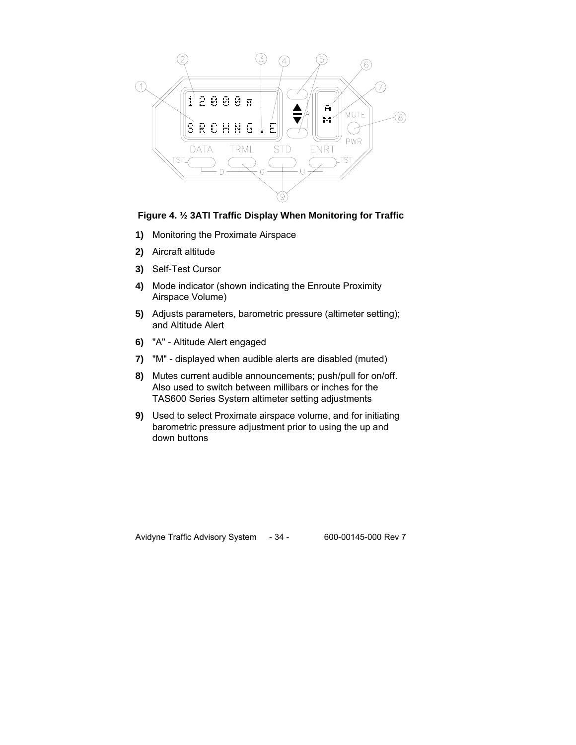

### **Figure 4. ½ 3ATI Traffic Display When Monitoring for Traffic**

- **1)** Monitoring the Proximate Airspace
- **2)** Aircraft altitude
- **3)** Self-Test Cursor
- **4)** Mode indicator (shown indicating the Enroute Proximity Airspace Volume)
- **5)** Adjusts parameters, barometric pressure (altimeter setting); and Altitude Alert
- **6)** "A" Altitude Alert engaged
- **7)** "M" displayed when audible alerts are disabled (muted)
- **8)** Mutes current audible announcements; push/pull for on/off. Also used to switch between millibars or inches for the TAS600 Series System altimeter setting adjustments
- **9)** Used to select Proximate airspace volume, and for initiating barometric pressure adjustment prior to using the up and down buttons

Avidyne Traffic Advisory System - 34 - 600-00145-000 Rev 7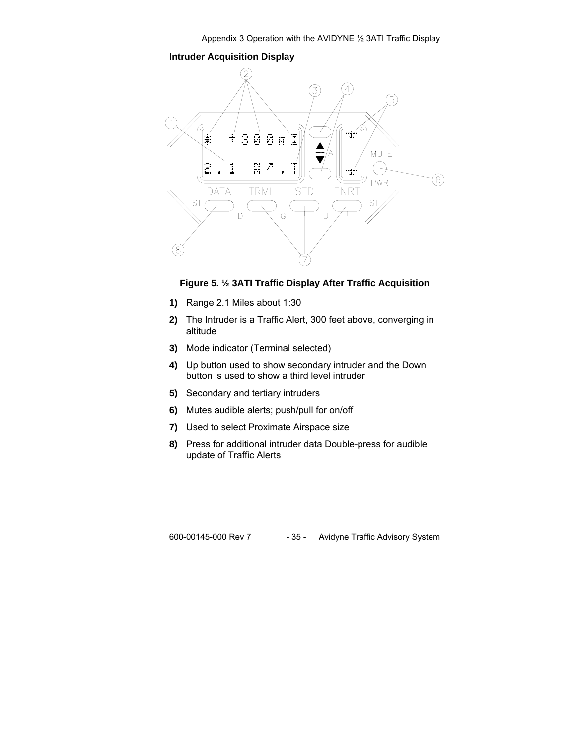### **Intruder Acquisition Display**



### **Figure 5. ½ 3ATI Traffic Display After Traffic Acquisition**

- **1)** Range 2.1 Miles about 1:30
- **2)** The Intruder is a Traffic Alert, 300 feet above, converging in altitude
- **3)** Mode indicator (Terminal selected)
- **4)** Up button used to show secondary intruder and the Down button is used to show a third level intruder
- **5)** Secondary and tertiary intruders
- **6)** Mutes audible alerts; push/pull for on/off
- **7)** Used to select Proximate Airspace size
- **8)** Press for additional intruder data Double-press for audible update of Traffic Alerts

600-00145-000 Rev 7 - 35 - Avidyne Traffic Advisory System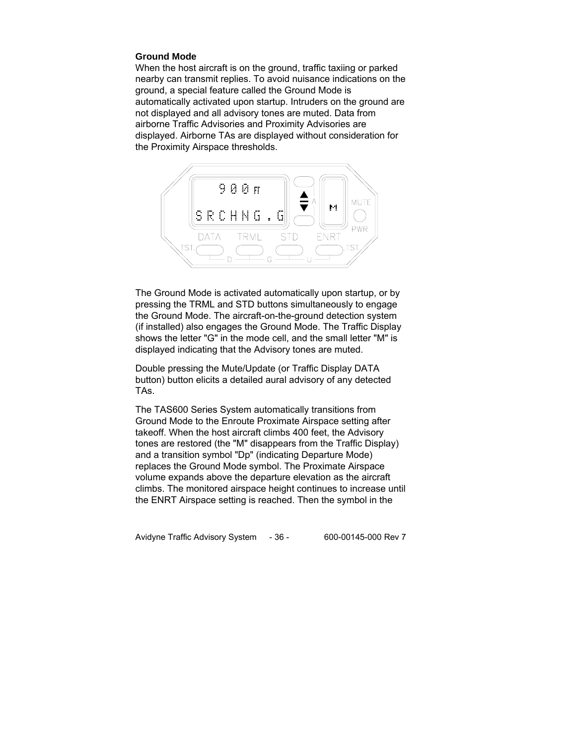### **Ground Mode**

When the host aircraft is on the ground, traffic taxiing or parked nearby can transmit replies. To avoid nuisance indications on the ground, a special feature called the Ground Mode is automatically activated upon startup. Intruders on the ground are not displayed and all advisory tones are muted. Data from airborne Traffic Advisories and Proximity Advisories are displayed. Airborne TAs are displayed without consideration for the Proximity Airspace thresholds.



The Ground Mode is activated automatically upon startup, or by pressing the TRML and STD buttons simultaneously to engage the Ground Mode. The aircraft-on-the-ground detection system (if installed) also engages the Ground Mode. The Traffic Display shows the letter "G" in the mode cell, and the small letter "M" is displayed indicating that the Advisory tones are muted.

Double pressing the Mute/Update (or Traffic Display DATA button) button elicits a detailed aural advisory of any detected TAs.

The TAS600 Series System automatically transitions from Ground Mode to the Enroute Proximate Airspace setting after takeoff. When the host aircraft climbs 400 feet, the Advisory tones are restored (the "M" disappears from the Traffic Display) and a transition symbol "Dp" (indicating Departure Mode) replaces the Ground Mode symbol. The Proximate Airspace volume expands above the departure elevation as the aircraft climbs. The monitored airspace height continues to increase until the ENRT Airspace setting is reached. Then the symbol in the

Avidyne Traffic Advisory System - 36 - 600-00145-000 Rev 7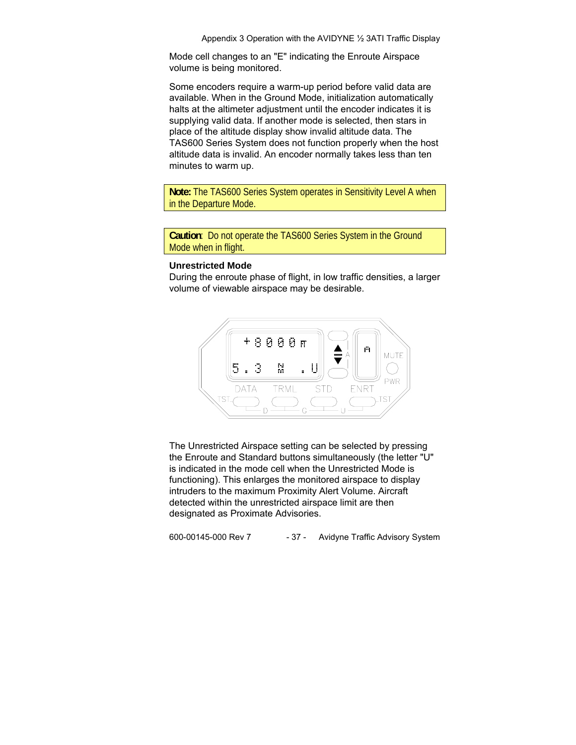Mode cell changes to an "E" indicating the Enroute Airspace volume is being monitored.

Some encoders require a warm-up period before valid data are available. When in the Ground Mode, initialization automatically halts at the altimeter adjustment until the encoder indicates it is supplying valid data. If another mode is selected, then stars in place of the altitude display show invalid altitude data. The TAS600 Series System does not function properly when the host altitude data is invalid. An encoder normally takes less than ten minutes to warm up.

**Note:** The TAS600 Series System operates in Sensitivity Level A when in the Departure Mode.

**Caution**: Do not operate the TAS600 Series System in the Ground Mode when in flight.

### **Unrestricted Mode**

During the enroute phase of flight, in low traffic densities, a larger volume of viewable airspace may be desirable.



The Unrestricted Airspace setting can be selected by pressing the Enroute and Standard buttons simultaneously (the letter "U" is indicated in the mode cell when the Unrestricted Mode is functioning). This enlarges the monitored airspace to display intruders to the maximum Proximity Alert Volume. Aircraft detected within the unrestricted airspace limit are then designated as Proximate Advisories.

600-00145-000 Rev 7 - 37 - Avidyne Traffic Advisory System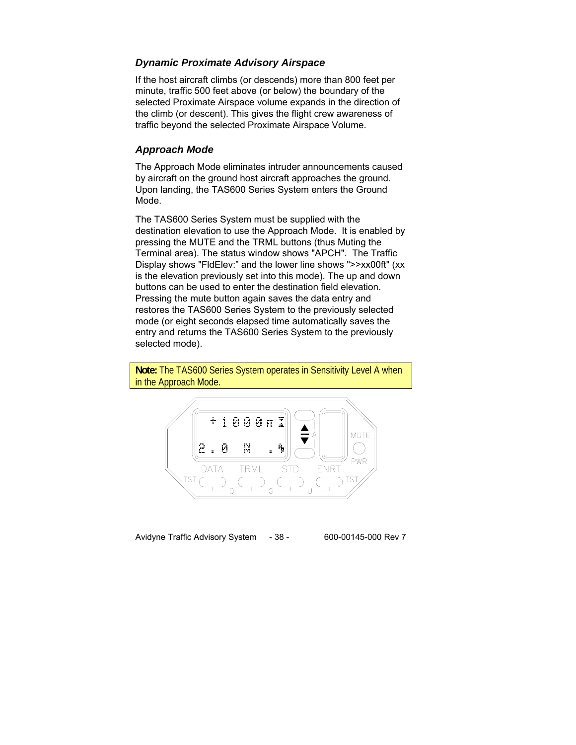# *Dynamic Proximate Advisory Airspace*

If the host aircraft climbs (or descends) more than 800 feet per minute, traffic 500 feet above (or below) the boundary of the selected Proximate Airspace volume expands in the direction of the climb (or descent). This gives the flight crew awareness of traffic beyond the selected Proximate Airspace Volume.

# *Approach Mode*

The Approach Mode eliminates intruder announcements caused by aircraft on the ground host aircraft approaches the ground. Upon landing, the TAS600 Series System enters the Ground Mode.

The TAS600 Series System must be supplied with the destination elevation to use the Approach Mode. It is enabled by pressing the MUTE and the TRML buttons (thus Muting the Terminal area). The status window shows "APCH". The Traffic Display shows "FldElev:" and the lower line shows ">>xx00ft" (xx is the elevation previously set into this mode). The up and down buttons can be used to enter the destination field elevation. Pressing the mute button again saves the data entry and restores the TAS600 Series System to the previously selected mode (or eight seconds elapsed time automatically saves the entry and returns the TAS600 Series System to the previously selected mode).

**Note:** The TAS600 Series System operates in Sensitivity Level A when in the Approach Mode.



Avidyne Traffic Advisory System - 38 - 600-00145-000 Rev 7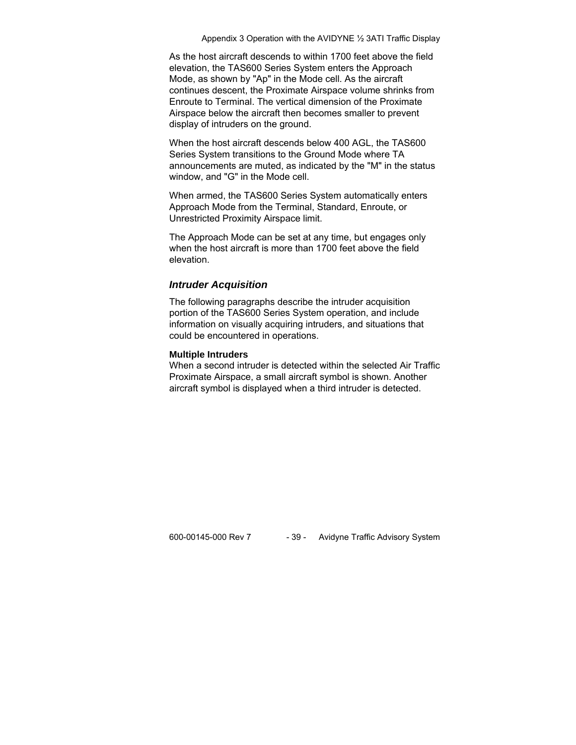As the host aircraft descends to within 1700 feet above the field elevation, the TAS600 Series System enters the Approach Mode, as shown by "Ap" in the Mode cell. As the aircraft continues descent, the Proximate Airspace volume shrinks from Enroute to Terminal. The vertical dimension of the Proximate Airspace below the aircraft then becomes smaller to prevent display of intruders on the ground.

When the host aircraft descends below 400 AGL, the TAS600 Series System transitions to the Ground Mode where TA announcements are muted, as indicated by the "M" in the status window, and "G" in the Mode cell.

When armed, the TAS600 Series System automatically enters Approach Mode from the Terminal, Standard, Enroute, or Unrestricted Proximity Airspace limit.

The Approach Mode can be set at any time, but engages only when the host aircraft is more than 1700 feet above the field elevation.

### *Intruder Acquisition*

The following paragraphs describe the intruder acquisition portion of the TAS600 Series System operation, and include information on visually acquiring intruders, and situations that could be encountered in operations.

#### **Multiple Intruders**

When a second intruder is detected within the selected Air Traffic Proximate Airspace, a small aircraft symbol is shown. Another aircraft symbol is displayed when a third intruder is detected.

600-00145-000 Rev 7 - 39 - Avidyne Traffic Advisory System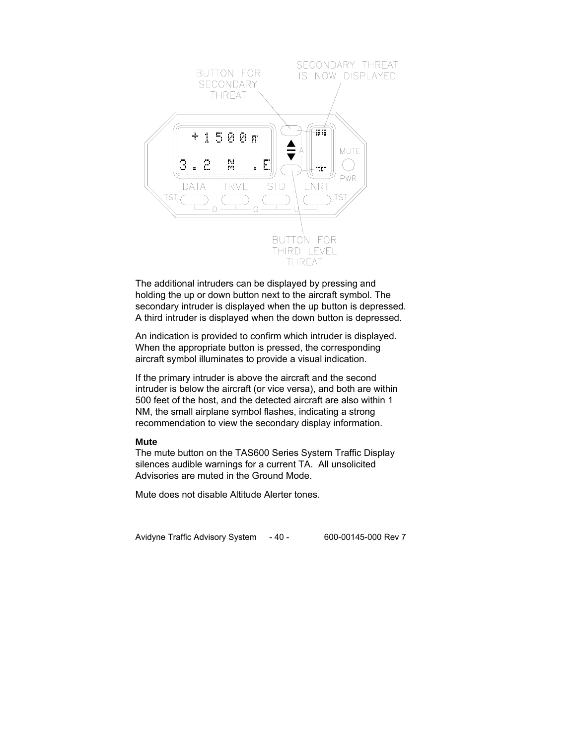

The additional intruders can be displayed by pressing and holding the up or down button next to the aircraft symbol. The secondary intruder is displayed when the up button is depressed. A third intruder is displayed when the down button is depressed.

An indication is provided to confirm which intruder is displayed. When the appropriate button is pressed, the corresponding aircraft symbol illuminates to provide a visual indication.

If the primary intruder is above the aircraft and the second intruder is below the aircraft (or vice versa), and both are within 500 feet of the host, and the detected aircraft are also within 1 NM, the small airplane symbol flashes, indicating a strong recommendation to view the secondary display information.

#### **Mute**

The mute button on the TAS600 Series System Traffic Display silences audible warnings for a current TA. All unsolicited Advisories are muted in the Ground Mode.

Mute does not disable Altitude Alerter tones.

Avidyne Traffic Advisory System - 40 - 600-00145-000 Rev 7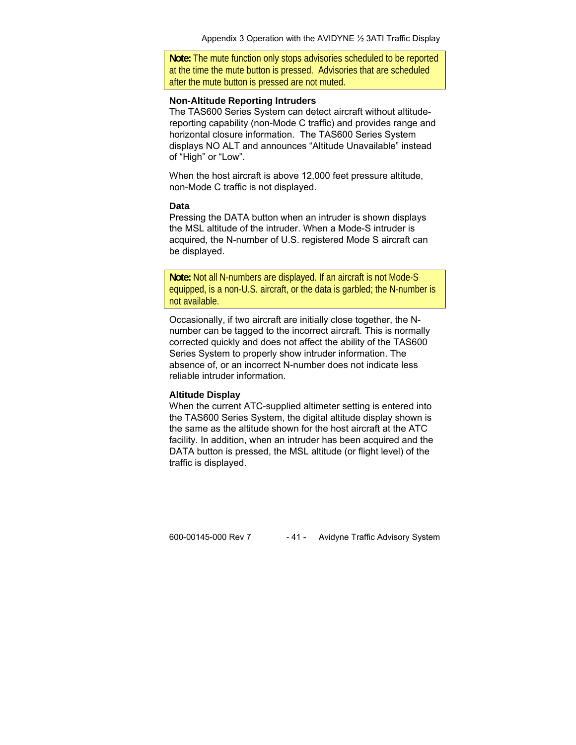**Note:** The mute function only stops advisories scheduled to be reported at the time the mute button is pressed. Advisories that are scheduled after the mute button is pressed are not muted.

### **Non-Altitude Reporting Intruders**

The TAS600 Series System can detect aircraft without altitudereporting capability (non-Mode C traffic) and provides range and horizontal closure information. The TAS600 Series System displays NO ALT and announces "Altitude Unavailable" instead of "High" or "Low".

When the host aircraft is above 12,000 feet pressure altitude, non-Mode C traffic is not displayed.

### **Data**

Pressing the DATA button when an intruder is shown displays the MSL altitude of the intruder. When a Mode-S intruder is acquired, the N-number of U.S. registered Mode S aircraft can be displayed.

**Note:** Not all N-numbers are displayed. If an aircraft is not Mode-S equipped, is a non-U.S. aircraft, or the data is garbled; the N-number is not available.

Occasionally, if two aircraft are initially close together, the Nnumber can be tagged to the incorrect aircraft. This is normally corrected quickly and does not affect the ability of the TAS600 Series System to properly show intruder information. The absence of, or an incorrect N-number does not indicate less reliable intruder information.

#### **Altitude Display**

When the current ATC-supplied altimeter setting is entered into the TAS600 Series System, the digital altitude display shown is the same as the altitude shown for the host aircraft at the ATC facility. In addition, when an intruder has been acquired and the DATA button is pressed, the MSL altitude (or flight level) of the traffic is displayed.

600-00145-000 Rev 7 - 41 - Avidyne Traffic Advisory System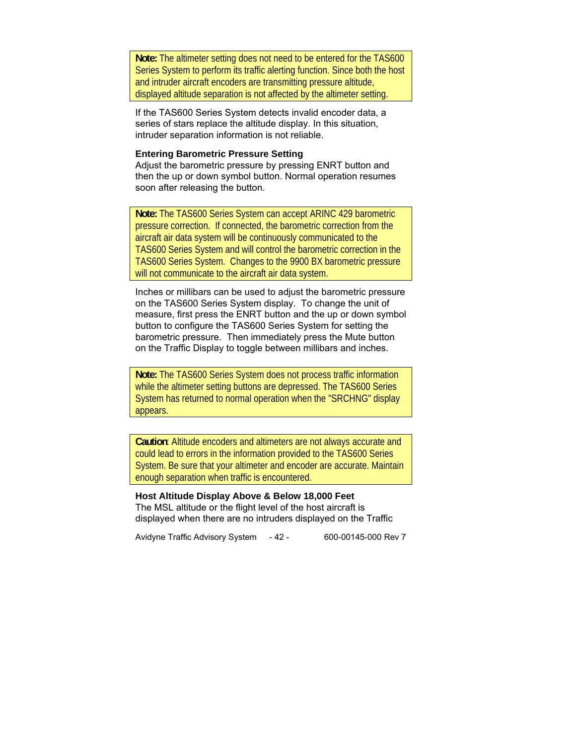**Note:** The altimeter setting does not need to be entered for the TAS600 Series System to perform its traffic alerting function. Since both the host and intruder aircraft encoders are transmitting pressure altitude, displayed altitude separation is not affected by the altimeter setting.

If the TAS600 Series System detects invalid encoder data, a series of stars replace the altitude display. In this situation, intruder separation information is not reliable.

### **Entering Barometric Pressure Setting**

Adjust the barometric pressure by pressing ENRT button and then the up or down symbol button. Normal operation resumes soon after releasing the button.

**Note:** The TAS600 Series System can accept ARINC 429 barometric pressure correction. If connected, the barometric correction from the aircraft air data system will be continuously communicated to the TAS600 Series System and will control the barometric correction in the TAS600 Series System. Changes to the 9900 BX barometric pressure will not communicate to the aircraft air data system.

Inches or millibars can be used to adjust the barometric pressure on the TAS600 Series System display. To change the unit of measure, first press the ENRT button and the up or down symbol button to configure the TAS600 Series System for setting the barometric pressure. Then immediately press the Mute button on the Traffic Display to toggle between millibars and inches.

**Note:** The TAS600 Series System does not process traffic information while the altimeter setting buttons are depressed. The TAS600 Series System has returned to normal operation when the "SRCHNG" display appears.

**Caution**: Altitude encoders and altimeters are not always accurate and could lead to errors in the information provided to the TAS600 Series System. Be sure that your altimeter and encoder are accurate. Maintain enough separation when traffic is encountered.

**Host Altitude Display Above & Below 18,000 Feet**  The MSL altitude or the flight level of the host aircraft is displayed when there are no intruders displayed on the Traffic

Avidyne Traffic Advisory System - 42 - 600-00145-000 Rev 7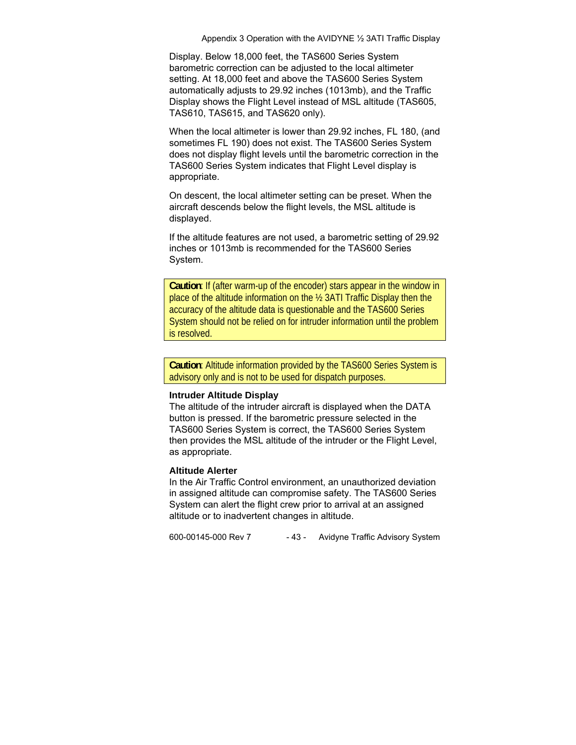Display. Below 18,000 feet, the TAS600 Series System barometric correction can be adjusted to the local altimeter setting. At 18,000 feet and above the TAS600 Series System automatically adjusts to 29.92 inches (1013mb), and the Traffic Display shows the Flight Level instead of MSL altitude (TAS605, TAS610, TAS615, and TAS620 only).

When the local altimeter is lower than 29.92 inches, FL 180, (and sometimes FL 190) does not exist. The TAS600 Series System does not display flight levels until the barometric correction in the TAS600 Series System indicates that Flight Level display is appropriate.

On descent, the local altimeter setting can be preset. When the aircraft descends below the flight levels, the MSL altitude is displayed.

If the altitude features are not used, a barometric setting of 29.92 inches or 1013mb is recommended for the TAS600 Series System.

**Caution**: If (after warm-up of the encoder) stars appear in the window in place of the altitude information on the ½ 3ATI Traffic Display then the accuracy of the altitude data is questionable and the TAS600 Series System should not be relied on for intruder information until the problem is resolved.

**Caution**: Altitude information provided by the TAS600 Series System is advisory only and is not to be used for dispatch purposes.

#### **Intruder Altitude Display**

The altitude of the intruder aircraft is displayed when the DATA button is pressed. If the barometric pressure selected in the TAS600 Series System is correct, the TAS600 Series System then provides the MSL altitude of the intruder or the Flight Level, as appropriate.

#### **Altitude Alerter**

In the Air Traffic Control environment, an unauthorized deviation in assigned altitude can compromise safety. The TAS600 Series System can alert the flight crew prior to arrival at an assigned altitude or to inadvertent changes in altitude.

600-00145-000 Rev 7 - 43 - Avidyne Traffic Advisory System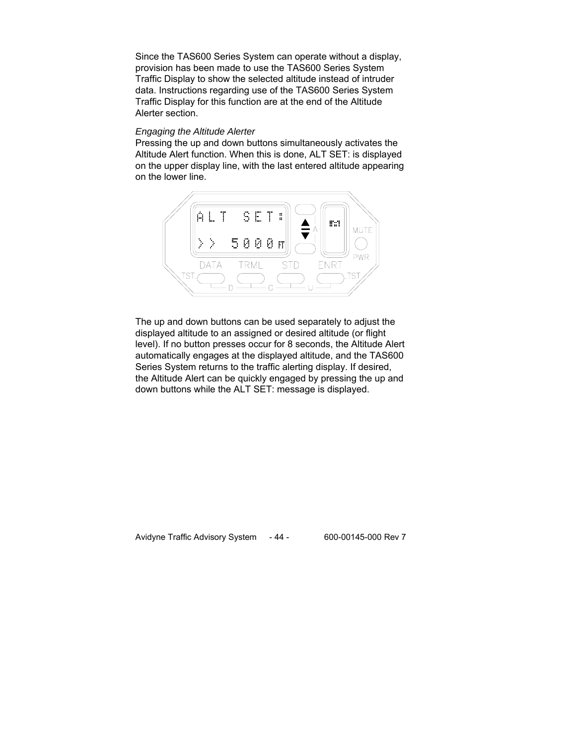Since the TAS600 Series System can operate without a display, provision has been made to use the TAS600 Series System Traffic Display to show the selected altitude instead of intruder data. Instructions regarding use of the TAS600 Series System Traffic Display for this function are at the end of the Altitude Alerter section.

### *Engaging the Altitude Alerter*

Pressing the up and down buttons simultaneously activates the Altitude Alert function. When this is done, ALT SET: is displayed on the upper display line, with the last entered altitude appearing on the lower line.



The up and down buttons can be used separately to adjust the displayed altitude to an assigned or desired altitude (or flight level). If no button presses occur for 8 seconds, the Altitude Alert automatically engages at the displayed altitude, and the TAS600 Series System returns to the traffic alerting display. If desired, the Altitude Alert can be quickly engaged by pressing the up and down buttons while the ALT SET: message is displayed.

Avidyne Traffic Advisory System - 44 - 600-00145-000 Rev 7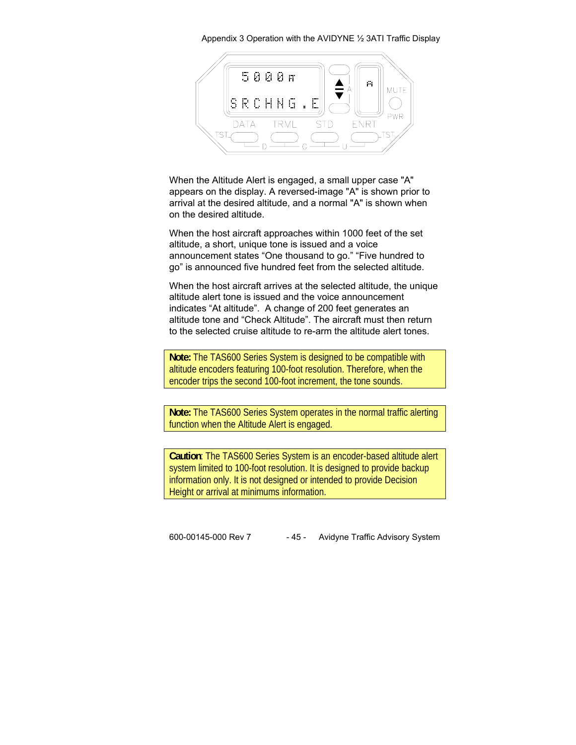

When the Altitude Alert is engaged, a small upper case "A" appears on the display. A reversed-image "A" is shown prior to arrival at the desired altitude, and a normal "A" is shown when on the desired altitude.

When the host aircraft approaches within 1000 feet of the set altitude, a short, unique tone is issued and a voice announcement states "One thousand to go." "Five hundred to go" is announced five hundred feet from the selected altitude.

When the host aircraft arrives at the selected altitude, the unique altitude alert tone is issued and the voice announcement indicates "At altitude". A change of 200 feet generates an altitude tone and "Check Altitude". The aircraft must then return to the selected cruise altitude to re-arm the altitude alert tones.

**Note:** The TAS600 Series System is designed to be compatible with altitude encoders featuring 100-foot resolution. Therefore, when the encoder trips the second 100-foot increment, the tone sounds.

**Note:** The TAS600 Series System operates in the normal traffic alerting function when the Altitude Alert is engaged.

**Caution**: The TAS600 Series System is an encoder-based altitude alert system limited to 100-foot resolution. It is designed to provide backup information only. It is not designed or intended to provide Decision Height or arrival at minimums information.

600-00145-000 Rev 7 - 45 - Avidyne Traffic Advisory System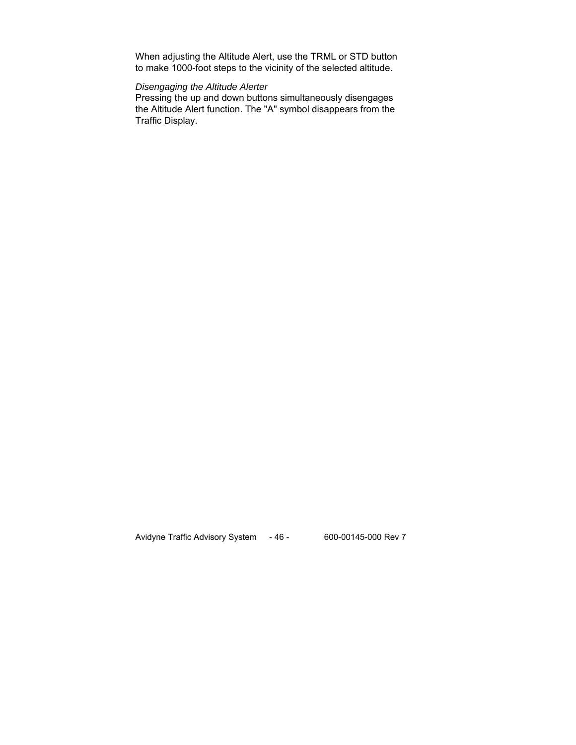When adjusting the Altitude Alert, use the TRML or STD button to make 1000-foot steps to the vicinity of the selected altitude.

### *Disengaging the Altitude Alerter*

Pressing the up and down buttons simultaneously disengages the Altitude Alert function. The "A" symbol disappears from the Traffic Display.

Avidyne Traffic Advisory System - 46 - 600-00145-000 Rev 7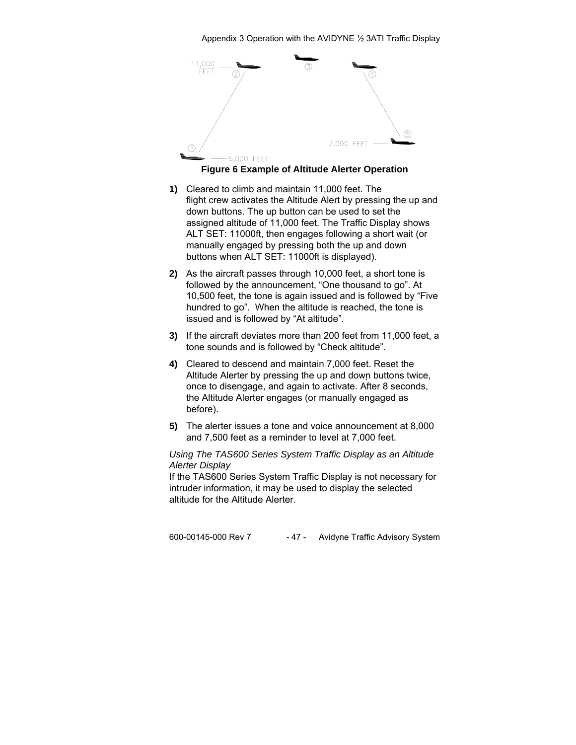

- **1)** Cleared to climb and maintain 11,000 feet. The flight crew activates the Altitude Alert by pressing the up and down buttons. The up button can be used to set the assigned altitude of 11,000 feet. The Traffic Display shows ALT SET: 11000ft, then engages following a short wait (or manually engaged by pressing both the up and down buttons when ALT SET: 11000ft is displayed).
- **2)** As the aircraft passes through 10,000 feet, a short tone is followed by the announcement, "One thousand to go". At 10,500 feet, the tone is again issued and is followed by "Five hundred to go". When the altitude is reached, the tone is issued and is followed by "At altitude".
- **3)** If the aircraft deviates more than 200 feet from 11,000 feet, a tone sounds and is followed by "Check altitude".
- **4)** Cleared to descend and maintain 7,000 feet. Reset the Altitude Alerter by pressing the up and down buttons twice, once to disengage, and again to activate. After 8 seconds, the Altitude Alerter engages (or manually engaged as before).
- **5)** The alerter issues a tone and voice announcement at 8,000 and 7,500 feet as a reminder to level at 7,000 feet.

#### *Using The TAS600 Series System Traffic Display as an Altitude Alerter Display*

If the TAS600 Series System Traffic Display is not necessary for intruder information, it may be used to display the selected altitude for the Altitude Alerter.

#### 600-00145-000 Rev 7 - 47 - Avidyne Traffic Advisory System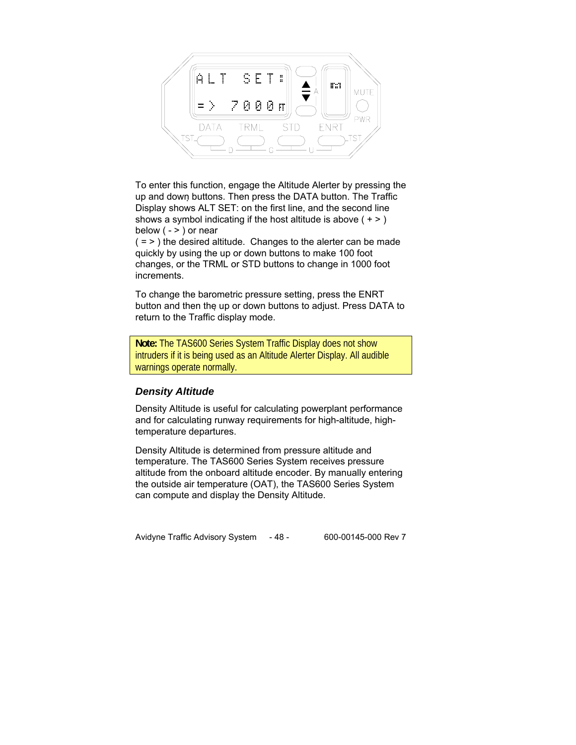

To enter this function, engage the Altitude Alerter by pressing the up and down buttons. Then press the DATA button. The Traffic Display shows ALT SET: on the first line, and the second line shows a symbol indicating if the host altitude is above  $( + > )$ below  $( - \geq )$  or near

( = > ) the desired altitude. Changes to the alerter can be made quickly by using the up or down buttons to make 100 foot changes, or the TRML or STD buttons to change in 1000 foot increments.

To change the barometric pressure setting, press the ENRT button and then the up or down buttons to adjust. Press DATA to return to the Traffic display mode.

**Note:** The TAS600 Series System Traffic Display does not show intruders if it is being used as an Altitude Alerter Display. All audible warnings operate normally.

# *Density Altitude*

Density Altitude is useful for calculating powerplant performance and for calculating runway requirements for high-altitude, hightemperature departures.

Density Altitude is determined from pressure altitude and temperature. The TAS600 Series System receives pressure altitude from the onboard altitude encoder. By manually entering the outside air temperature (OAT), the TAS600 Series System can compute and display the Density Altitude.

Avidyne Traffic Advisory System - 48 - 600-00145-000 Rev 7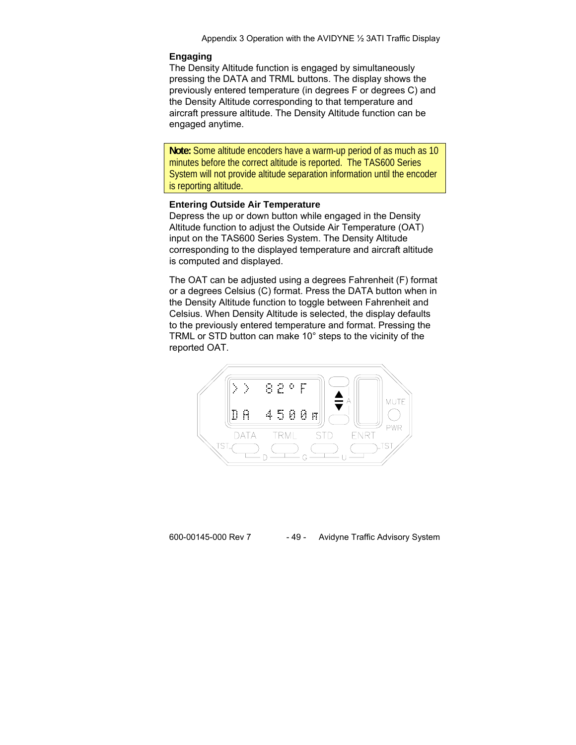### **Engaging**

The Density Altitude function is engaged by simultaneously pressing the DATA and TRML buttons. The display shows the previously entered temperature (in degrees F or degrees C) and the Density Altitude corresponding to that temperature and aircraft pressure altitude. The Density Altitude function can be engaged anytime.

**Note:** Some altitude encoders have a warm-up period of as much as 10 minutes before the correct altitude is reported. The TAS600 Series System will not provide altitude separation information until the encoder is reporting altitude.

### **Entering Outside Air Temperature**

Depress the up or down button while engaged in the Density Altitude function to adjust the Outside Air Temperature (OAT) input on the TAS600 Series System. The Density Altitude corresponding to the displayed temperature and aircraft altitude is computed and displayed.

The OAT can be adjusted using a degrees Fahrenheit (F) format or a degrees Celsius (C) format. Press the DATA button when in the Density Altitude function to toggle between Fahrenheit and Celsius. When Density Altitude is selected, the display defaults to the previously entered temperature and format. Pressing the TRML or STD button can make 10° steps to the vicinity of the reported OAT.



#### 600-00145-000 Rev 7 - 49 - Avidyne Traffic Advisory System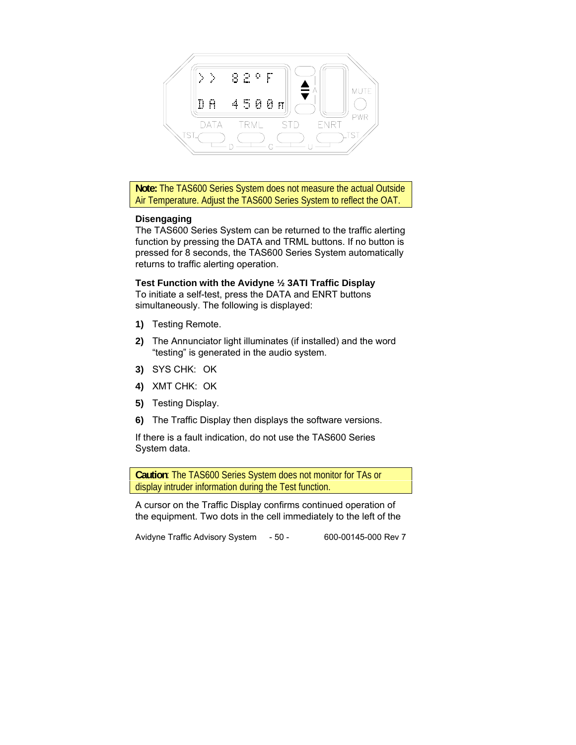

**Note:** The TAS600 Series System does not measure the actual Outside Air Temperature. Adjust the TAS600 Series System to reflect the OAT.

### **Disengaging**

The TAS600 Series System can be returned to the traffic alerting function by pressing the DATA and TRML buttons. If no button is pressed for 8 seconds, the TAS600 Series System automatically returns to traffic alerting operation.

**Test Function with the Avidyne ½ 3ATI Traffic Display**  To initiate a self-test, press the DATA and ENRT buttons simultaneously. The following is displayed:

- **1)** Testing Remote.
- **2)** The Annunciator light illuminates (if installed) and the word "testing" is generated in the audio system.
- **3)** SYS CHK: OK
- **4)** XMT CHK: OK
- **5)** Testing Display.
- **6)** The Traffic Display then displays the software versions.

If there is a fault indication, do not use the TAS600 Series System data.

**Caution**: The TAS600 Series System does not monitor for TAs or display intruder information during the Test function.

A cursor on the Traffic Display confirms continued operation of the equipment. Two dots in the cell immediately to the left of the

Avidyne Traffic Advisory System - 50 - 600-00145-000 Rev 7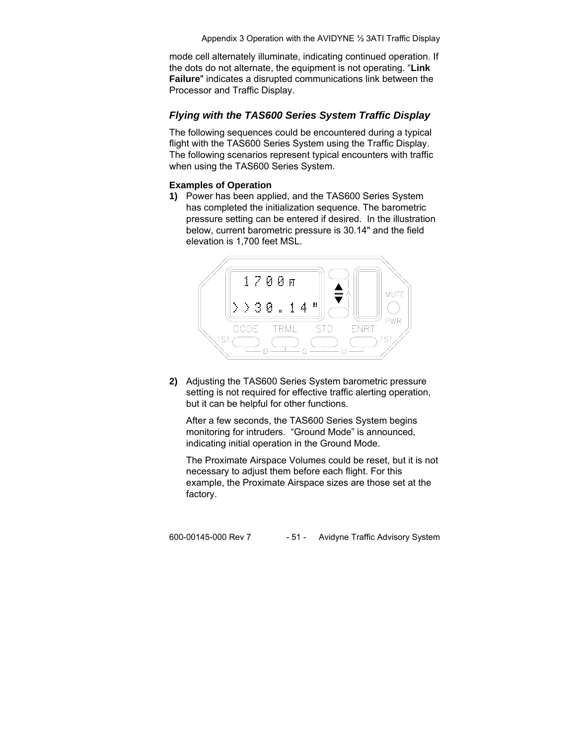mode cell alternately illuminate, indicating continued operation. If the dots do not alternate, the equipment is not operating. "**Link Failure**" indicates a disrupted communications link between the Processor and Traffic Display.

# *Flying with the TAS600 Series System Traffic Display*

The following sequences could be encountered during a typical flight with the TAS600 Series System using the Traffic Display. The following scenarios represent typical encounters with traffic when using the TAS600 Series System.

### **Examples of Operation**

**1)** Power has been applied, and the TAS600 Series System has completed the initialization sequence. The barometric pressure setting can be entered if desired. In the illustration below, current barometric pressure is 30.14" and the field elevation is 1,700 feet MSL.



**2)** Adjusting the TAS600 Series System barometric pressure setting is not required for effective traffic alerting operation, but it can be helpful for other functions.

After a few seconds, the TAS600 Series System begins monitoring for intruders. "Ground Mode" is announced, indicating initial operation in the Ground Mode.

The Proximate Airspace Volumes could be reset, but it is not necessary to adjust them before each flight. For this example, the Proximate Airspace sizes are those set at the factory.

600-00145-000 Rev 7 - 51 - Avidyne Traffic Advisory System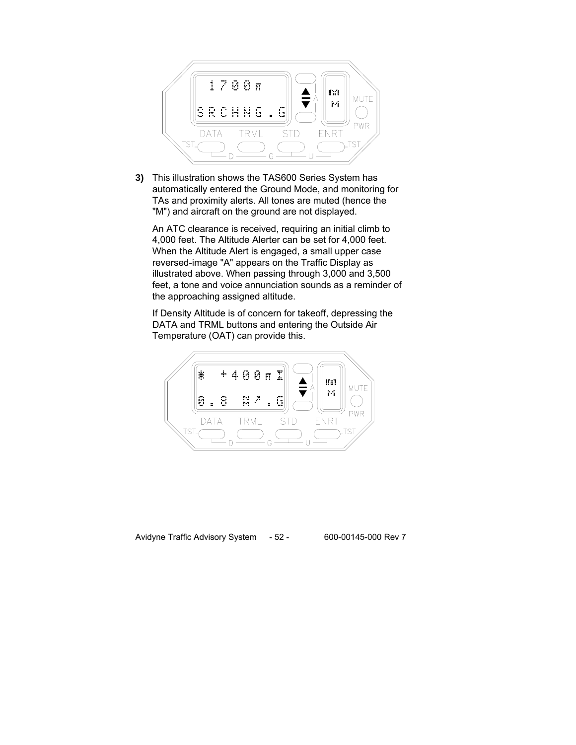

**3)** This illustration shows the TAS600 Series System has automatically entered the Ground Mode, and monitoring for TAs and proximity alerts. All tones are muted (hence the "M") and aircraft on the ground are not displayed.

An ATC clearance is received, requiring an initial climb to 4,000 feet. The Altitude Alerter can be set for 4,000 feet. When the Altitude Alert is engaged, a small upper case reversed-image "A" appears on the Traffic Display as illustrated above. When passing through 3,000 and 3,500 feet, a tone and voice annunciation sounds as a reminder of the approaching assigned altitude.

If Density Altitude is of concern for takeoff, depressing the DATA and TRML buttons and entering the Outside Air Temperature (OAT) can provide this.



Avidyne Traffic Advisory System - 52 - 600-00145-000 Rev 7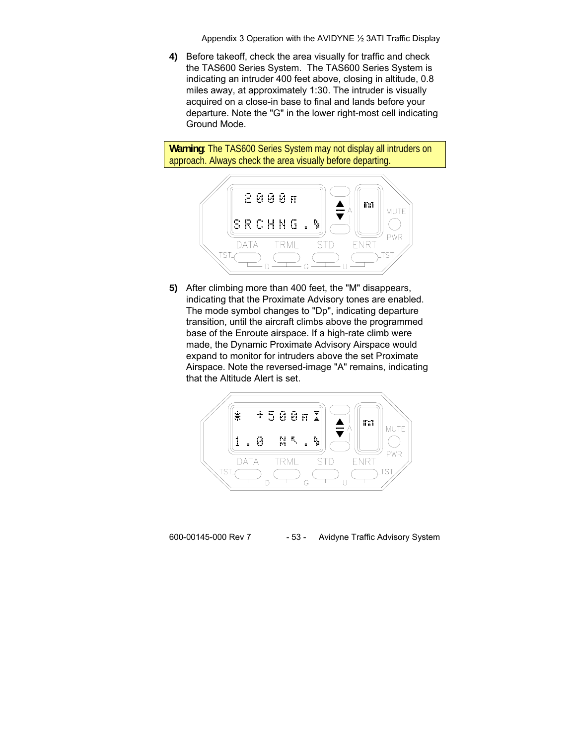**4)** Before takeoff, check the area visually for traffic and check the TAS600 Series System. The TAS600 Series System is indicating an intruder 400 feet above, closing in altitude, 0.8 miles away, at approximately 1:30. The intruder is visually acquired on a close-in base to final and lands before your departure. Note the "G" in the lower right-most cell indicating Ground Mode.

**Warning**: The TAS600 Series System may not display all intruders on approach. Always check the area visually before departing.



**5)** After climbing more than 400 feet, the "M" disappears, indicating that the Proximate Advisory tones are enabled. The mode symbol changes to "Dp", indicating departure transition, until the aircraft climbs above the programmed base of the Enroute airspace. If a high-rate climb were made, the Dynamic Proximate Advisory Airspace would expand to monitor for intruders above the set Proximate Airspace. Note the reversed-image "A" remains, indicating that the Altitude Alert is set.



600-00145-000 Rev 7 - 53 - Avidyne Traffic Advisory System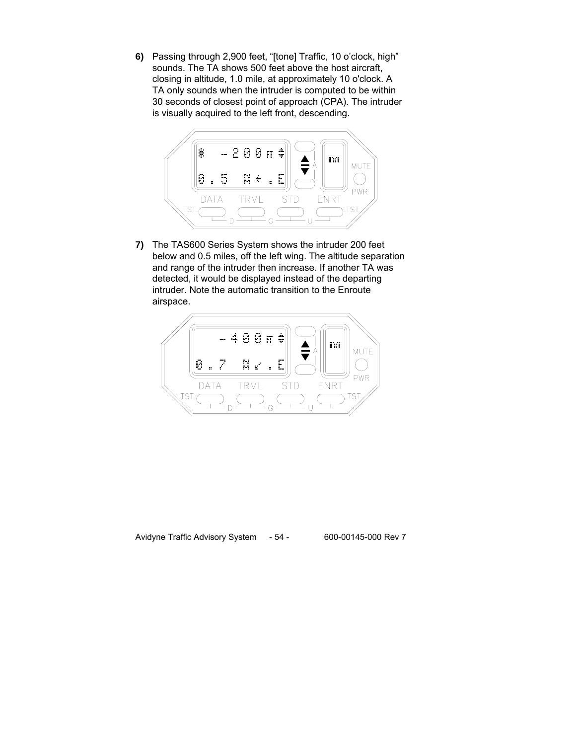**6)** Passing through 2,900 feet, "[tone] Traffic, 10 o'clock, high" sounds. The TA shows 500 feet above the host aircraft, closing in altitude, 1.0 mile, at approximately 10 o'clock. A TA only sounds when the intruder is computed to be within 30 seconds of closest point of approach (CPA). The intruder is visually acquired to the left front, descending.



**7)** The TAS600 Series System shows the intruder 200 feet below and 0.5 miles, off the left wing. The altitude separation and range of the intruder then increase. If another TA was detected, it would be displayed instead of the departing intruder. Note the automatic transition to the Enroute airspace.



Avidyne Traffic Advisory System - 54 - 600-00145-000 Rev 7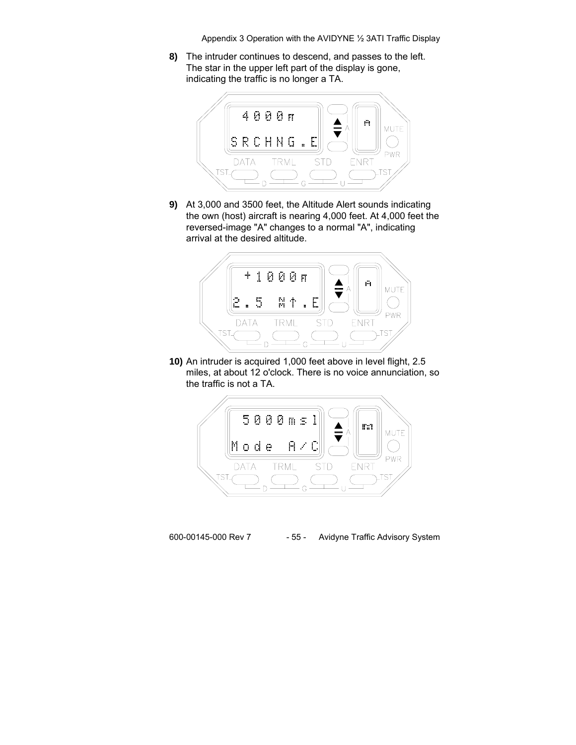**8)** The intruder continues to descend, and passes to the left. The star in the upper left part of the display is gone, indicating the traffic is no longer a TA.



**9)** At 3,000 and 3500 feet, the Altitude Alert sounds indicating the own (host) aircraft is nearing 4,000 feet. At 4,000 feet the reversed-image "A" changes to a normal "A", indicating arrival at the desired altitude.



**10)** An intruder is acquired 1,000 feet above in level flight, 2.5 miles, at about 12 o'clock. There is no voice annunciation, so the traffic is not a TA.



600-00145-000 Rev 7 - 55 - Avidyne Traffic Advisory System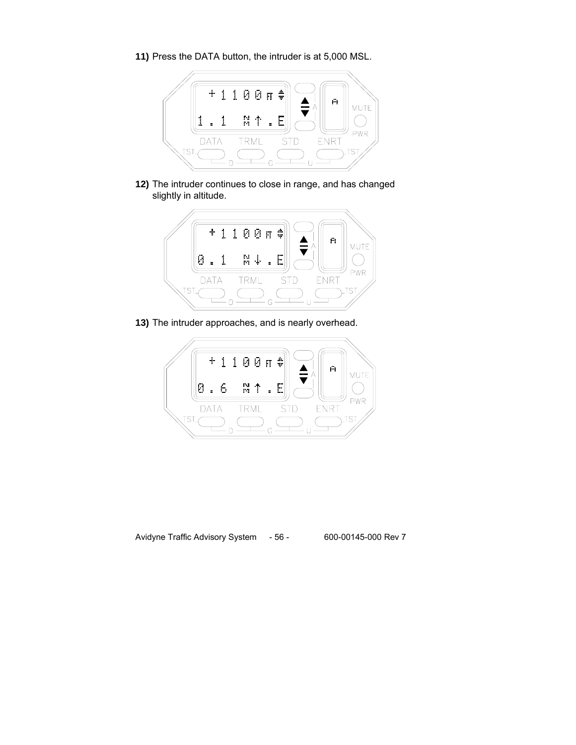**11)** Press the DATA button, the intruder is at 5,000 MSL.



**12)** The intruder continues to close in range, and has changed slightly in altitude.



13) The intruder approaches, and is nearly overhead.



Avidyne Traffic Advisory System - 56 - 600-00145-000 Rev 7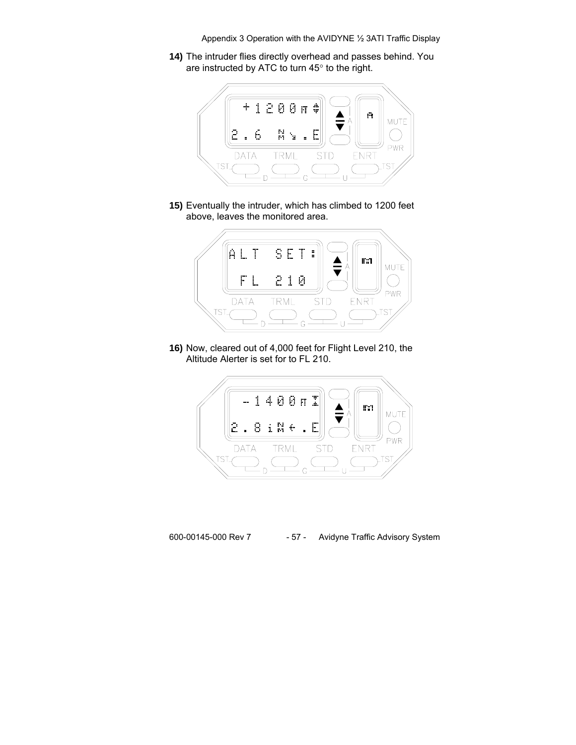**14)** The intruder flies directly overhead and passes behind. You are instructed by ATC to turn 45° to the right.



**15)** Eventually the intruder, which has climbed to 1200 feet above, leaves the monitored area.



**16)** Now, cleared out of 4,000 feet for Flight Level 210, the Altitude Alerter is set for to FL 210.



600-00145-000 Rev 7 - 57 - Avidyne Traffic Advisory System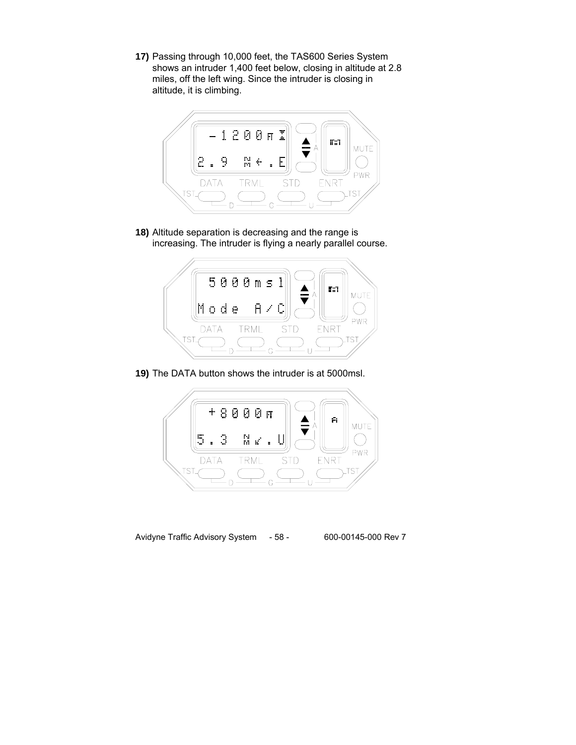**17)** Passing through 10,000 feet, the TAS600 Series System shows an intruder 1,400 feet below, closing in altitude at 2.8 miles, off the left wing. Since the intruder is closing in altitude, it is climbing.



**18)** Altitude separation is decreasing and the range is increasing. The intruder is flying a nearly parallel course.



**19)** The DATA button shows the intruder is at 5000msl.



Avidyne Traffic Advisory System - 58 - 600-00145-000 Rev 7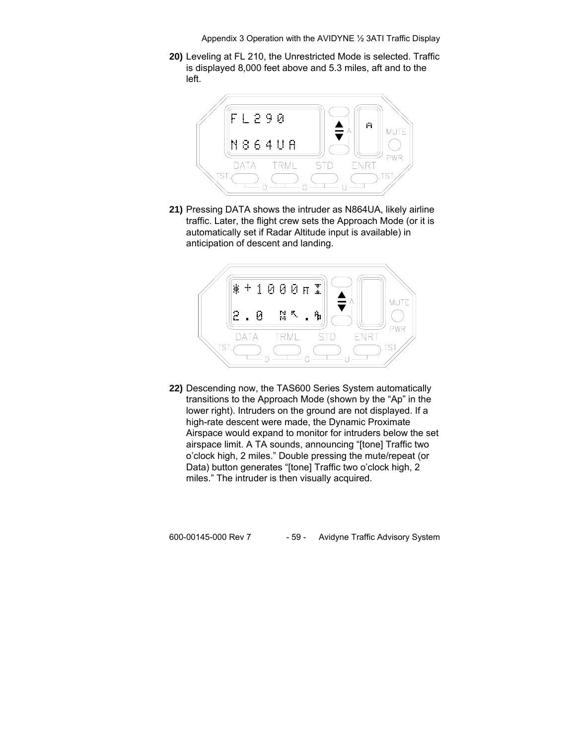**20)** Leveling at FL 210, the Unrestricted Mode is selected. Traffic is displayed 8,000 feet above and 5.3 miles, aft and to the left.



**21)** Pressing DATA shows the intruder as N864UA, likely airline traffic. Later, the flight crew sets the Approach Mode (or it is automatically set if Radar Altitude input is available) in anticipation of descent and landing.



**22)** Descending now, the TAS600 Series System automatically transitions to the Approach Mode (shown by the "Ap" in the lower right). Intruders on the ground are not displayed. If a high-rate descent were made, the Dynamic Proximate Airspace would expand to monitor for intruders below the set airspace limit. A TA sounds, announcing "[tone] Traffic two o'clock high, 2 miles." Double pressing the mute/repeat (or Data) button generates "[tone] Traffic two o'clock high, 2 miles." The intruder is then visually acquired.

600-00145-000 Rev 7 - 59 - Avidyne Traffic Advisory System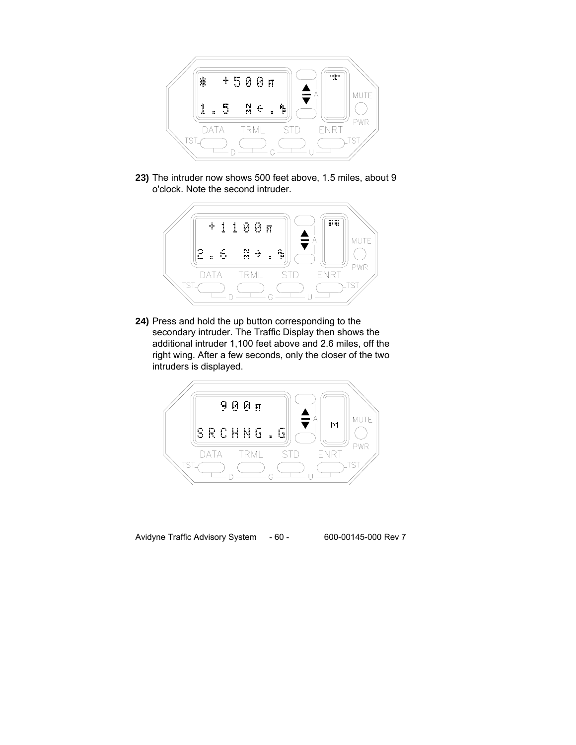

**23)** The intruder now shows 500 feet above, 1.5 miles, about 9 o'clock. Note the second intruder.



**24)** Press and hold the up button corresponding to the secondary intruder. The Traffic Display then shows the additional intruder 1,100 feet above and 2.6 miles, off the right wing. After a few seconds, only the closer of the two intruders is displayed.



Avidyne Traffic Advisory System - 60 - 600-00145-000 Rev 7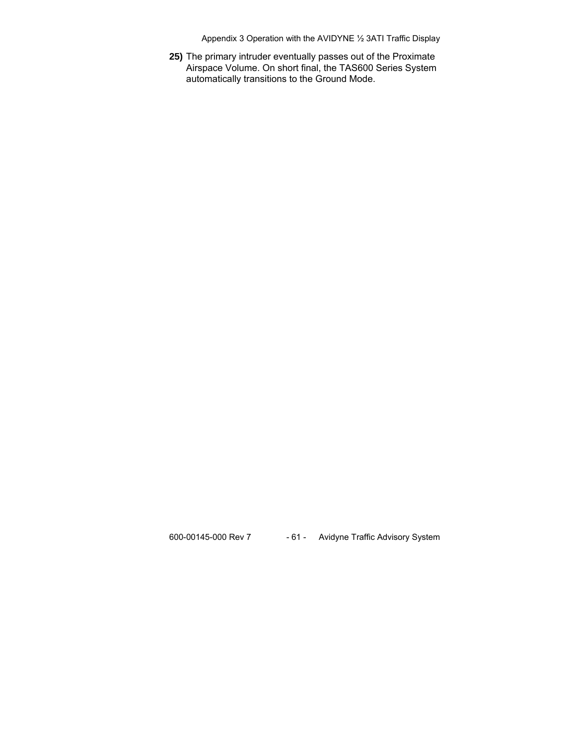**25)** The primary intruder eventually passes out of the Proximate Airspace Volume. On short final, the TAS600 Series System automatically transitions to the Ground Mode.

600-00145-000 Rev 7 - 61 - Avidyne Traffic Advisory System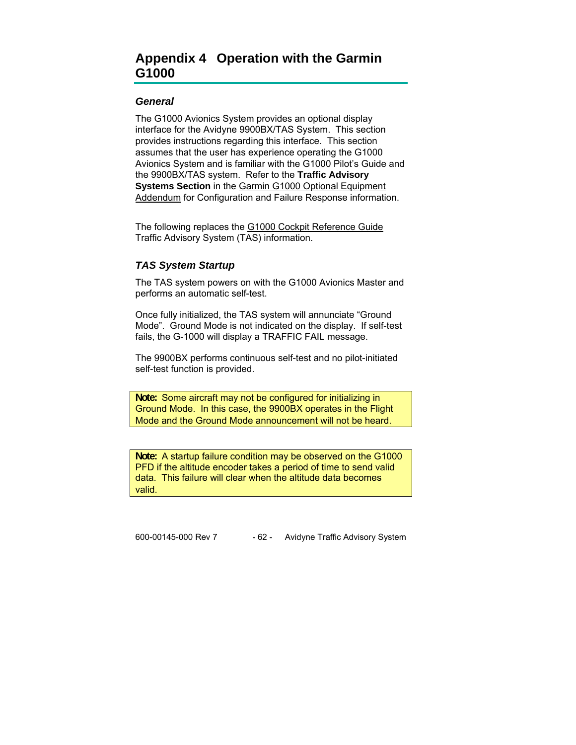# **Appendix 4 Operation with the Garmin G1000**

### *General*

The G1000 Avionics System provides an optional display interface for the Avidyne 9900BX/TAS System. This section provides instructions regarding this interface. This section assumes that the user has experience operating the G1000 Avionics System and is familiar with the G1000 Pilot's Guide and the 9900BX/TAS system. Refer to the **Traffic Advisory Systems Section** in the Garmin G1000 Optional Equipment Addendum for Configuration and Failure Response information.

The following replaces the G1000 Cockpit Reference Guide Traffic Advisory System (TAS) information.

# *TAS System Startup*

The TAS system powers on with the G1000 Avionics Master and performs an automatic self-test.

Once fully initialized, the TAS system will annunciate "Ground Mode". Ground Mode is not indicated on the display. If self-test fails, the G-1000 will display a TRAFFIC FAIL message.

The 9900BX performs continuous self-test and no pilot-initiated self-test function is provided.

**Note:** Some aircraft may not be configured for initializing in Ground Mode. In this case, the 9900BX operates in the Flight Mode and the Ground Mode announcement will not be heard.

**Note:** A startup failure condition may be observed on the G1000 PFD if the altitude encoder takes a period of time to send valid data. This failure will clear when the altitude data becomes valid.

600-00145-000 Rev 7 - 62 - Avidyne Traffic Advisory System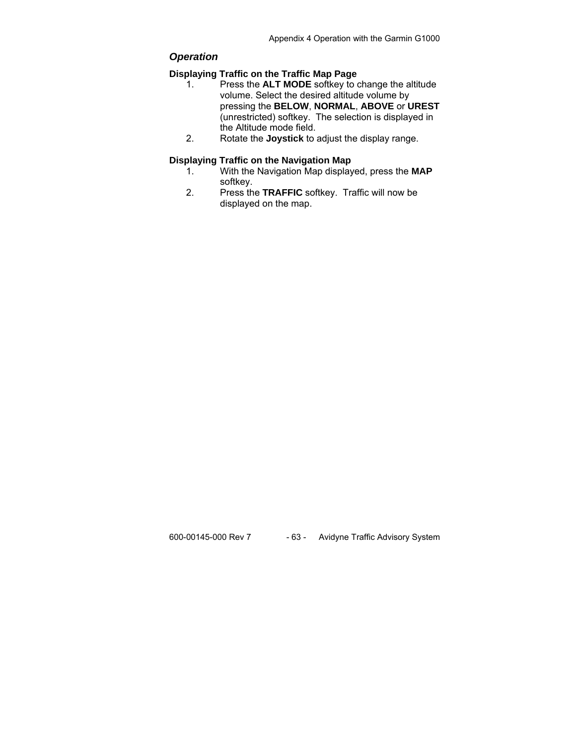# *Operation*

### **Displaying Traffic on the Traffic Map Page**

- 1. Press the **ALT MODE** softkey to change the altitude volume. Select the desired altitude volume by pressing the **BELOW**, **NORMAL**, **ABOVE** or **UREST** (unrestricted) softkey. The selection is displayed in the Altitude mode field.
- 2. Rotate the **Joystick** to adjust the display range.

### **Displaying Traffic on the Navigation Map**

- 1. With the Navigation Map displayed, press the **MAP** softkey.
- 2. Press the **TRAFFIC** softkey. Traffic will now be displayed on the map.

600-00145-000 Rev 7 - 63 - Avidyne Traffic Advisory System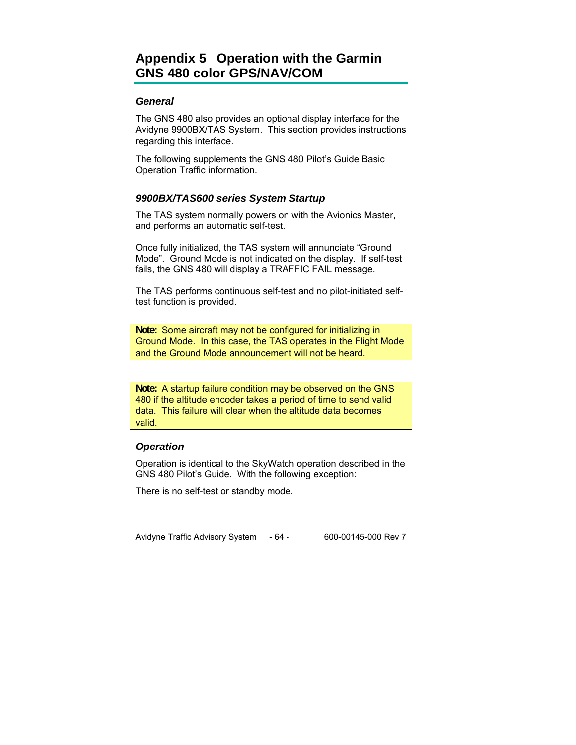### *General*

The GNS 480 also provides an optional display interface for the Avidyne 9900BX/TAS System. This section provides instructions regarding this interface.

The following supplements the GNS 480 Pilot's Guide Basic Operation Traffic information.

### *9900BX/TAS600 series System Startup*

The TAS system normally powers on with the Avionics Master, and performs an automatic self-test.

Once fully initialized, the TAS system will annunciate "Ground Mode". Ground Mode is not indicated on the display. If self-test fails, the GNS 480 will display a TRAFFIC FAIL message.

The TAS performs continuous self-test and no pilot-initiated selftest function is provided.

**Note:** Some aircraft may not be configured for initializing in Ground Mode. In this case, the TAS operates in the Flight Mode and the Ground Mode announcement will not be heard.

**Note:** A startup failure condition may be observed on the GNS 480 if the altitude encoder takes a period of time to send valid data. This failure will clear when the altitude data becomes valid.

# *Operation*

Operation is identical to the SkyWatch operation described in the GNS 480 Pilot's Guide. With the following exception:

There is no self-test or standby mode.

Avidyne Traffic Advisory System - 64 - 600-00145-000 Rev 7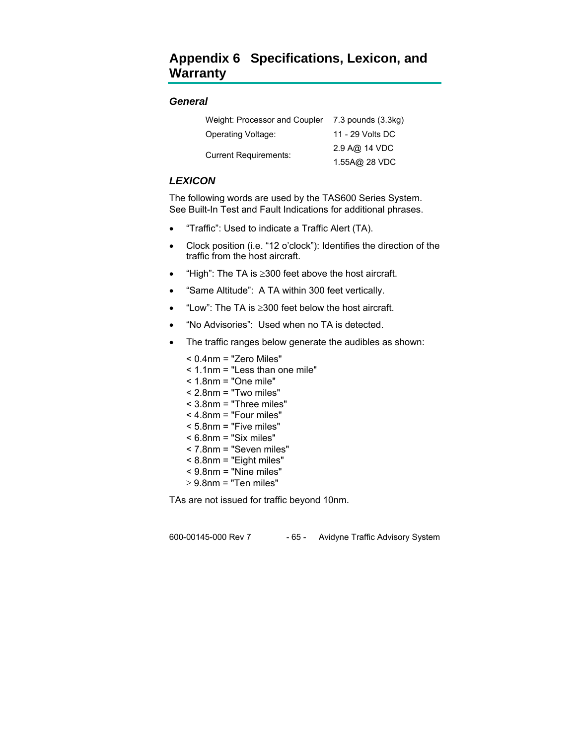# **Appendix 6 Specifications, Lexicon, and Warranty**

## *General*

| Weight: Processor and Coupler | $7.3$ pounds $(3.3kg)$ |
|-------------------------------|------------------------|
| <b>Operating Voltage:</b>     | 11 - 29 Volts DC       |
| <b>Current Requirements:</b>  | 2.9 A@ 14 VDC          |
|                               | 1.55A@ 28 VDC          |

## *LEXICON*

The following words are used by the TAS600 Series System. See Built-In Test and Fault Indications for additional phrases.

- "Traffic": Used to indicate a Traffic Alert (TA).
- Clock position (i.e. "12 o'clock"): Identifies the direction of the traffic from the host aircraft.
- "High": The TA is ≥300 feet above the host aircraft.
- "Same Altitude": A TA within 300 feet vertically.
- "Low": The TA is ≥300 feet below the host aircraft.
- "No Advisories": Used when no TA is detected.
- The traffic ranges below generate the audibles as shown:
	- < 0.4nm = "Zero Miles"
	- < 1.1nm = "Less than one mile"
	- $<$  1.8nm = "One mile"
	- < 2.8nm = "Two miles"
	- < 3.8nm = "Three miles"
	- < 4.8nm = "Four miles"
	- < 5.8nm = "Five miles"
	- < 6.8nm = "Six miles"
	- < 7.8nm = "Seven miles"
	- < 8.8nm = "Eight miles"
	- < 9.8nm = "Nine miles"
	- $\geq 9.8$ nm = "Ten miles"

TAs are not issued for traffic beyond 10nm.

600-00145-000 Rev 7 - 65 - Avidyne Traffic Advisory System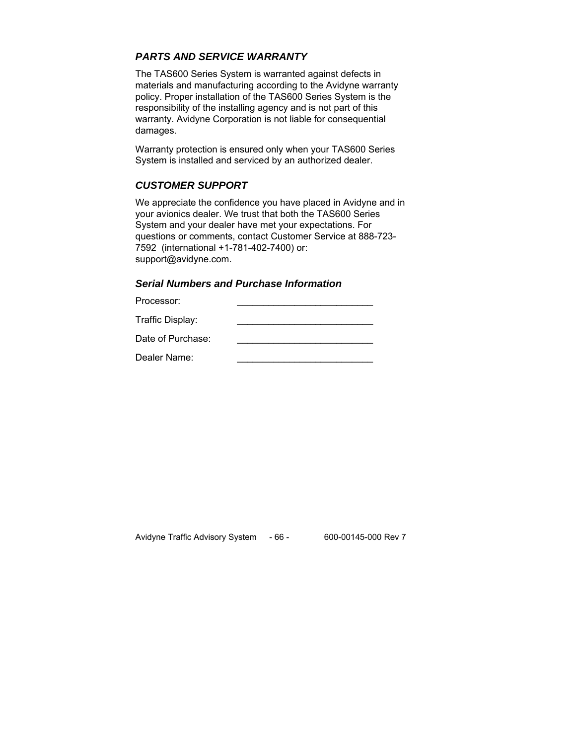# *PARTS AND SERVICE WARRANTY*

The TAS600 Series System is warranted against defects in materials and manufacturing according to the Avidyne warranty policy. Proper installation of the TAS600 Series System is the responsibility of the installing agency and is not part of this warranty. Avidyne Corporation is not liable for consequential damages.

Warranty protection is ensured only when your TAS600 Series System is installed and serviced by an authorized dealer.

## *CUSTOMER SUPPORT*

We appreciate the confidence you have placed in Avidyne and in your avionics dealer. We trust that both the TAS600 Series System and your dealer have met your expectations. For questions or comments, contact Customer Service at 888-723- 7592 (international +1-781-402-7400) or: support@avidyne.com.

## *Serial Numbers and Purchase Information*

| Processor:        |  |
|-------------------|--|
| Traffic Display:  |  |
| Date of Purchase: |  |
| Dealer Name:      |  |

Avidyne Traffic Advisory System - 66 - 600-00145-000 Rev 7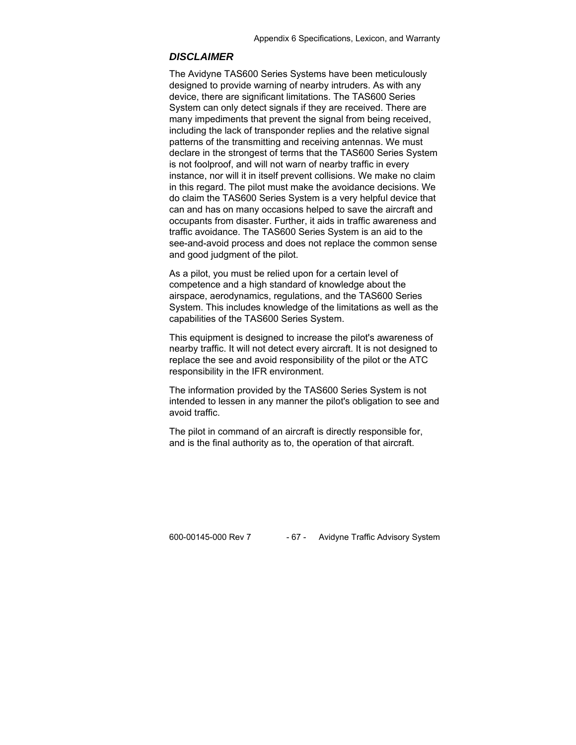## *DISCLAIMER*

The Avidyne TAS600 Series Systems have been meticulously designed to provide warning of nearby intruders. As with any device, there are significant limitations. The TAS600 Series System can only detect signals if they are received. There are many impediments that prevent the signal from being received, including the lack of transponder replies and the relative signal patterns of the transmitting and receiving antennas. We must declare in the strongest of terms that the TAS600 Series System is not foolproof, and will not warn of nearby traffic in every instance, nor will it in itself prevent collisions. We make no claim in this regard. The pilot must make the avoidance decisions. We do claim the TAS600 Series System is a very helpful device that can and has on many occasions helped to save the aircraft and occupants from disaster. Further, it aids in traffic awareness and traffic avoidance. The TAS600 Series System is an aid to the see-and-avoid process and does not replace the common sense and good judgment of the pilot.

As a pilot, you must be relied upon for a certain level of competence and a high standard of knowledge about the airspace, aerodynamics, regulations, and the TAS600 Series System. This includes knowledge of the limitations as well as the capabilities of the TAS600 Series System.

This equipment is designed to increase the pilot's awareness of nearby traffic. It will not detect every aircraft. It is not designed to replace the see and avoid responsibility of the pilot or the ATC responsibility in the IFR environment.

The information provided by the TAS600 Series System is not intended to lessen in any manner the pilot's obligation to see and avoid traffic.

The pilot in command of an aircraft is directly responsible for, and is the final authority as to, the operation of that aircraft.

600-00145-000 Rev 7 - 67 - Avidyne Traffic Advisory System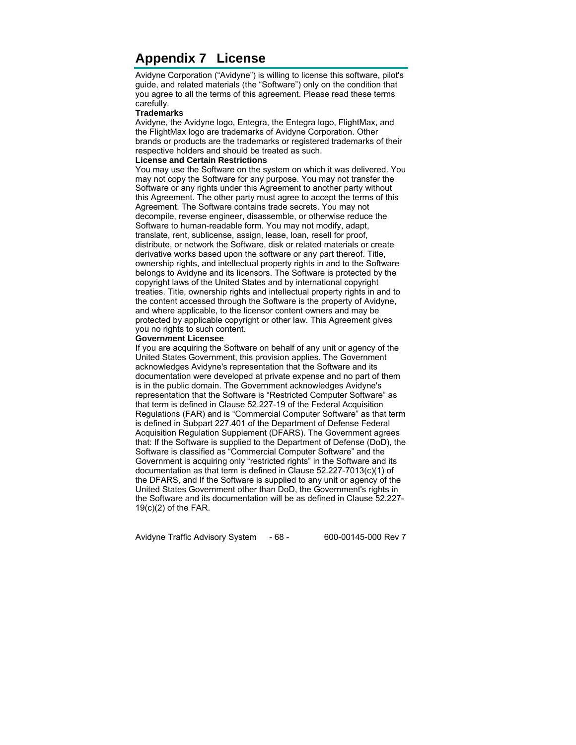# **Appendix 7 License**

Avidyne Corporation ("Avidyne") is willing to license this software, pilot's guide, and related materials (the "Software") only on the condition that you agree to all the terms of this agreement. Please read these terms carefully.

## **Trademarks**

Avidyne, the Avidyne logo, Entegra, the Entegra logo, FlightMax, and the FlightMax logo are trademarks of Avidyne Corporation. Other brands or products are the trademarks or registered trademarks of their respective holders and should be treated as such.

## **License and Certain Restrictions**

You may use the Software on the system on which it was delivered. You may not copy the Software for any purpose. You may not transfer the Software or any rights under this Agreement to another party without this Agreement. The other party must agree to accept the terms of this Agreement. The Software contains trade secrets. You may not decompile, reverse engineer, disassemble, or otherwise reduce the Software to human-readable form. You may not modify, adapt, translate, rent, sublicense, assign, lease, loan, resell for proof, distribute, or network the Software, disk or related materials or create derivative works based upon the software or any part thereof. Title, ownership rights, and intellectual property rights in and to the Software belongs to Avidyne and its licensors. The Software is protected by the copyright laws of the United States and by international copyright treaties. Title, ownership rights and intellectual property rights in and to the content accessed through the Software is the property of Avidyne, and where applicable, to the licensor content owners and may be protected by applicable copyright or other law. This Agreement gives you no rights to such content.

#### **Govern***m***ent Licensee**

If you are acquiring the Software on behalf of any unit or agency of the United States Government, this provision applies. The Government acknowledges Avidyne's representation that the Software and its documentation were developed at private expense and no part of them is in the public domain. The Government acknowledges Avidyne's representation that the Software is "Restricted Computer Software" as that term is defined in Clause 52.227-19 of the Federal Acquisition Regulations (FAR) and is "Commercial Computer Software" as that term is defined in Subpart 227.401 of the Department of Defense Federal Acquisition Regulation Supplement (DFARS). The Government agrees that: If the Software is supplied to the Department of Defense (DoD), the Software is classified as "Commercial Computer Software" and the Government is acquiring only "restricted rights" in the Software and its documentation as that term is defined in Clause 52.227-7013(c)(1) of the DFARS, and If the Software is supplied to any unit or agency of the United States Government other than DoD, the Government's rights in the Software and its documentation will be as defined in Clause 52.227-  $19(c)(2)$  of the FAR.

Avidyne Traffic Advisory System - 68 - 600-00145-000 Rev 7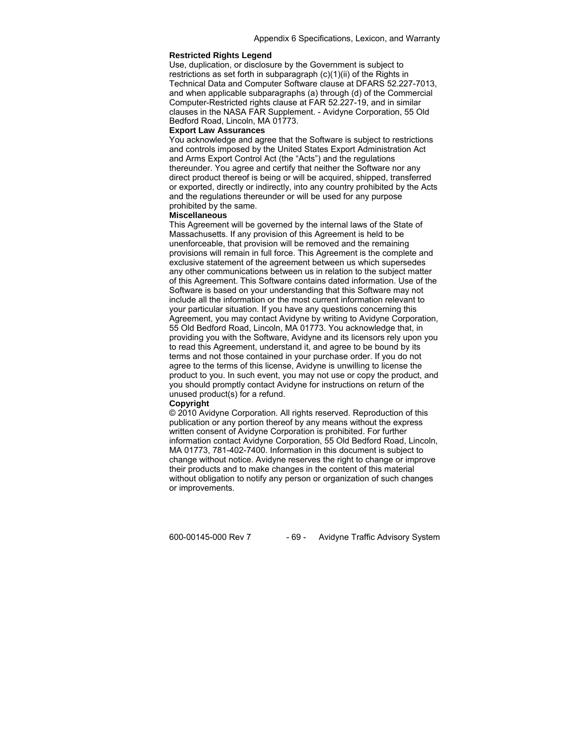#### **Restricted Rights Legend**

Use, duplication, or disclosure by the Government is subject to restrictions as set forth in subparagraph (c)(1)(ii) of the Rights in Technical Data and Computer Software clause at DFARS 52.227-7013, and when applicable subparagraphs (a) through (d) of the Commercial Computer-Restricted rights clause at FAR 52.227-19, and in similar clauses in the NASA FAR Supplement. - Avidyne Corporation, 55 Old Bedford Road, Lincoln, MA 01773.

#### **Export Law Assurances**

You acknowledge and agree that the Software is subject to restrictions and controls imposed by the United States Export Administration Act and Arms Export Control Act (the "Acts") and the regulations thereunder. You agree and certify that neither the Software nor any direct product thereof is being or will be acquired, shipped, transferred or exported, directly or indirectly, into any country prohibited by the Acts and the regulations thereunder or will be used for any purpose prohibited by the same.

#### **Miscellaneous**

This Agreement will be governed by the internal laws of the State of Massachusetts. If any provision of this Agreement is held to be unenforceable, that provision will be removed and the remaining provisions will remain in full force. This Agreement is the complete and exclusive statement of the agreement between us which supersedes any other communications between us in relation to the subject matter of this Agreement. This Software contains dated information. Use of the Software is based on your understanding that this Software may not include all the information or the most current information relevant to your particular situation. If you have any questions concerning this Agreement, you may contact Avidyne by writing to Avidyne Corporation, 55 Old Bedford Road, Lincoln, MA 01773. You acknowledge that, in providing you with the Software, Avidyne and its licensors rely upon you to read this Agreement, understand it, and agree to be bound by its terms and not those contained in your purchase order. If you do not agree to the terms of this license, Avidyne is unwilling to license the product to you. In such event, you may not use or copy the product, and you should promptly contact Avidyne for instructions on return of the unused product(s) for a refund.

## **Copyright**

© 2010 Avidyne Corporation. All rights reserved. Reproduction of this publication or any portion thereof by any means without the express written consent of Avidyne Corporation is prohibited. For further information contact Avidyne Corporation, 55 Old Bedford Road, Lincoln, MA 01773, 781-402-7400. Information in this document is subject to change without notice. Avidyne reserves the right to change or improve their products and to make changes in the content of this material without obligation to notify any person or organization of such changes or improvements.

600-00145-000 Rev 7 - 69 - Avidyne Traffic Advisory System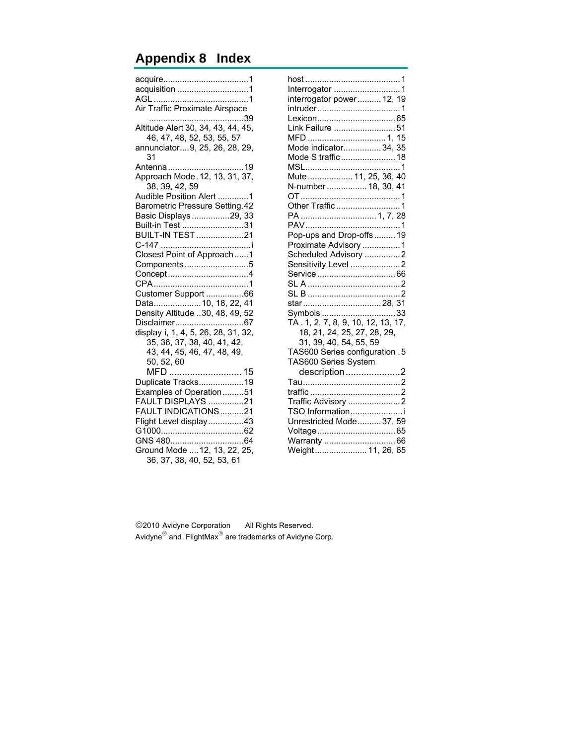# **Appendix 8 Index**

| acquisition 1                            |
|------------------------------------------|
|                                          |
| Air Traffic Proximate Airspace           |
|                                          |
|                                          |
|                                          |
| 46, 47, 48, 52, 53, 55, 57               |
| annunciator9, 25, 26, 28, 29,            |
| 31                                       |
| Antenna 19                               |
| Approach Mode. 12, 13, 31, 37,           |
| 38, 39, 42, 59                           |
| Audible Position Alert 1                 |
| <b>Barometric Pressure Setting.42</b>    |
| Basic Displays 29, 33                    |
| Built-in Test 31                         |
| BUILT-IN TEST 21                         |
|                                          |
| Closest Point of Approach1               |
| Components5                              |
|                                          |
|                                          |
|                                          |
| Customer Support 66                      |
| Data10, 18, 22, 41                       |
| Density Altitude 30, 48, 49, 52          |
| Disclaimer67                             |
| display i, 1, 4, 5, 26, 28, 31, 32,      |
| 35, 36, 37, 38, 40, 41, 42,              |
| 43, 44, 45, 46, 47, 48, 49,              |
| 50, 52, 60                               |
| MFD  15                                  |
| Duplicate Tracks19                       |
| Examples of Operation51                  |
| FAULT DISPLAYS 21                        |
| FAULT INDICATIONS21                      |
| Flight Level display43                   |
|                                          |
|                                          |
| GNS 48064<br>Ground Mode 12, 13, 22, 25, |
|                                          |
| 36, 37, 38, 40, 52, 53, 61               |

| interrogator power 12, 19           |  |
|-------------------------------------|--|
|                                     |  |
|                                     |  |
| Link Failure 51                     |  |
| MFD  1, 15                          |  |
| Mode indicator 34, 35               |  |
| Mode S traffic 18                   |  |
|                                     |  |
|                                     |  |
| N-number  18, 30, 41                |  |
|                                     |  |
|                                     |  |
| PA  1, 7, 28                        |  |
|                                     |  |
| Pop-ups and Drop-offs19             |  |
| Proximate Advisory 1                |  |
| Scheduled Advisory 2                |  |
| Sensitivity Level 2                 |  |
|                                     |  |
| SL A …………………………………2                 |  |
|                                     |  |
| star  28, 31                        |  |
| Symbols 33                          |  |
| TA . 1, 2, 7, 8, 9, 10, 12, 13, 17, |  |
| 18, 21, 24, 25, 27, 28, 29,         |  |
| 31, 39, 40, 54, 55, 59              |  |
| TAS600 Series configuration .5      |  |
| TAS600 Series System                |  |
| description2                        |  |
|                                     |  |
|                                     |  |
| Traffic Advisory 2                  |  |
| TSO Information                     |  |
| Unrestricted Mode 37, 59            |  |
|                                     |  |
| Weight 11, 26, 65                   |  |
|                                     |  |

©2010 Avidyne Corporation All Rights Reserved. Avidyne $^{\circledR}$  and FlightMax $^{\circledR}$  are trademarks of Avidyne Corp.